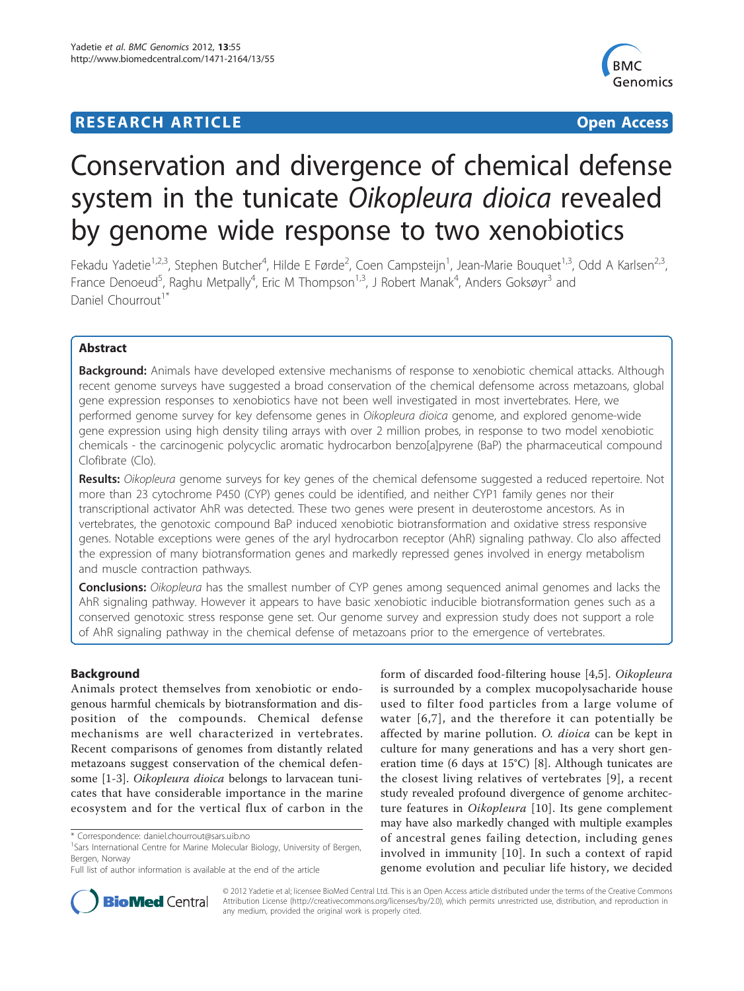# **RESEARCH ARTICLE Example 2018 12:00 Department of the Contract Open Access**



# Conservation and divergence of chemical defense system in the tunicate Oikopleura dioica revealed by genome wide response to two xenobiotics

Fekadu Yadetie<sup>1,2,3</sup>, Stephen Butcher<sup>4</sup>, Hilde E Førde<sup>2</sup>, Coen Campsteijn<sup>1</sup>, Jean-Marie Bouquet<sup>1,3</sup>, Odd A Karlsen<sup>2,3</sup>, France Denoeud<sup>5</sup>, Raghu Metpally<sup>4</sup>, Eric M Thompson<sup>1,3</sup>, J Robert Manak<sup>4</sup>, Anders Goksøyr<sup>3</sup> and Daniel Chourrout<sup>1\*</sup>

# Abstract

Background: Animals have developed extensive mechanisms of response to xenobiotic chemical attacks. Although recent genome surveys have suggested a broad conservation of the chemical defensome across metazoans, global gene expression responses to xenobiotics have not been well investigated in most invertebrates. Here, we performed genome survey for key defensome genes in *Oikopleura dioica* genome, and explored genome-wide gene expression using high density tiling arrays with over 2 million probes, in response to two model xenobiotic chemicals - the carcinogenic polycyclic aromatic hydrocarbon benzo[a]pyrene (BaP) the pharmaceutical compound Clofibrate (Clo).

Results: Oikopleura genome surveys for key genes of the chemical defensome suggested a reduced repertoire. Not more than 23 cytochrome P450 (CYP) genes could be identified, and neither CYP1 family genes nor their transcriptional activator AhR was detected. These two genes were present in deuterostome ancestors. As in vertebrates, the genotoxic compound BaP induced xenobiotic biotransformation and oxidative stress responsive genes. Notable exceptions were genes of the aryl hydrocarbon receptor (AhR) signaling pathway. Clo also affected the expression of many biotransformation genes and markedly repressed genes involved in energy metabolism and muscle contraction pathways.

**Conclusions:** Oikopleura has the smallest number of CYP genes among sequenced animal genomes and lacks the AhR signaling pathway. However it appears to have basic xenobiotic inducible biotransformation genes such as a conserved genotoxic stress response gene set. Our genome survey and expression study does not support a role of AhR signaling pathway in the chemical defense of metazoans prior to the emergence of vertebrates.

# Background

Animals protect themselves from xenobiotic or endogenous harmful chemicals by biotransformation and disposition of the compounds. Chemical defense mechanisms are well characterized in vertebrates. Recent comparisons of genomes from distantly related metazoans suggest conservation of the chemical defensome [[1-3\]](#page-15-0). Oikopleura dioica belongs to larvacean tunicates that have considerable importance in the marine ecosystem and for the vertical flux of carbon in the

form of discarded food-filtering house [[4,5\]](#page-15-0). Oikopleura is surrounded by a complex mucopolysacharide house used to filter food particles from a large volume of water [[6,7\]](#page-15-0), and the therefore it can potentially be affected by marine pollution. O. dioica can be kept in culture for many generations and has a very short generation time (6 days at 15°C) [[8\]](#page-15-0). Although tunicates are the closest living relatives of vertebrates [[9](#page-15-0)], a recent study revealed profound divergence of genome architec-ture features in Oikopleura [[10](#page-15-0)]. Its gene complement may have also markedly changed with multiple examples of ancestral genes failing detection, including genes involved in immunity [[10](#page-15-0)]. In such a context of rapid genome evolution and peculiar life history, we decided



© 2012 Yadetie et al; licensee BioMed Central Ltd. This is an Open Access article distributed under the terms of the Creative Commons Attribution License [\(http://creativecommons.org/licenses/by/2.0](http://creativecommons.org/licenses/by/2.0)), which permits unrestricted use, distribution, and reproduction in any medium, provided the original work is properly cited.

<sup>\*</sup> Correspondence: [daniel.chourrout@sars.uib.no](mailto:daniel.chourrout@sars.uib.no)

<sup>&</sup>lt;sup>1</sup>Sars International Centre for Marine Molecular Biology, University of Bergen, Bergen, Norway

Full list of author information is available at the end of the article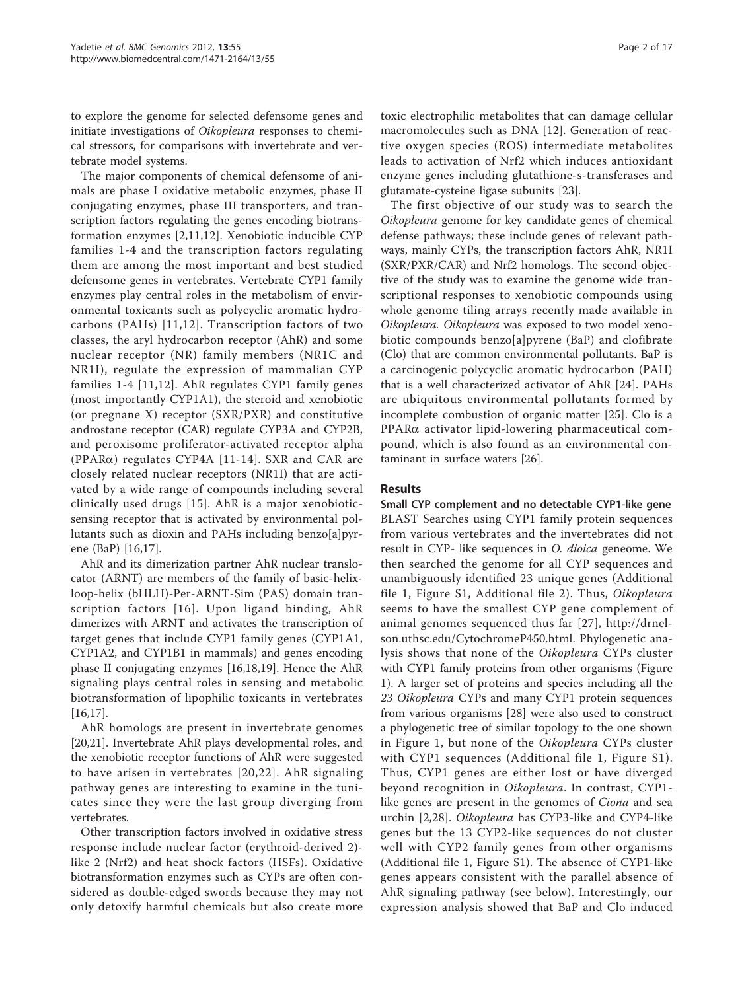to explore the genome for selected defensome genes and initiate investigations of Oikopleura responses to chemical stressors, for comparisons with invertebrate and vertebrate model systems.

The major components of chemical defensome of animals are phase I oxidative metabolic enzymes, phase II conjugating enzymes, phase III transporters, and transcription factors regulating the genes encoding biotransformation enzymes [\[2](#page-15-0),[11,12\]](#page-15-0). Xenobiotic inducible CYP families 1-4 and the transcription factors regulating them are among the most important and best studied defensome genes in vertebrates. Vertebrate CYP1 family enzymes play central roles in the metabolism of environmental toxicants such as polycyclic aromatic hydrocarbons (PAHs) [[11,12\]](#page-15-0). Transcription factors of two classes, the aryl hydrocarbon receptor (AhR) and some nuclear receptor (NR) family members (NR1C and NR1I), regulate the expression of mammalian CYP families 1-4 [[11,12\]](#page-15-0). AhR regulates CYP1 family genes (most importantly CYP1A1), the steroid and xenobiotic (or pregnane X) receptor (SXR/PXR) and constitutive androstane receptor (CAR) regulate CYP3A and CYP2B, and peroxisome proliferator-activated receptor alpha (PPAR $\alpha$ ) regulates CYP4A [[11](#page-15-0)-[14](#page-15-0)]. SXR and CAR are closely related nuclear receptors (NR1I) that are activated by a wide range of compounds including several clinically used drugs [[15\]](#page-15-0). AhR is a major xenobioticsensing receptor that is activated by environmental pollutants such as dioxin and PAHs including benzo[a]pyrene (BaP) [\[16,17](#page-15-0)].

AhR and its dimerization partner AhR nuclear translocator (ARNT) are members of the family of basic-helixloop-helix (bHLH)-Per-ARNT-Sim (PAS) domain transcription factors [[16](#page-15-0)]. Upon ligand binding, AhR dimerizes with ARNT and activates the transcription of target genes that include CYP1 family genes (CYP1A1, CYP1A2, and CYP1B1 in mammals) and genes encoding phase II conjugating enzymes [[16](#page-15-0),[18](#page-15-0),[19](#page-15-0)]. Hence the AhR signaling plays central roles in sensing and metabolic biotransformation of lipophilic toxicants in vertebrates [[16,17\]](#page-15-0).

AhR homologs are present in invertebrate genomes [[20,21\]](#page-15-0). Invertebrate AhR plays developmental roles, and the xenobiotic receptor functions of AhR were suggested to have arisen in vertebrates [[20](#page-15-0),[22\]](#page-15-0). AhR signaling pathway genes are interesting to examine in the tunicates since they were the last group diverging from vertebrates.

Other transcription factors involved in oxidative stress response include nuclear factor (erythroid-derived 2) like 2 (Nrf2) and heat shock factors (HSFs). Oxidative biotransformation enzymes such as CYPs are often considered as double-edged swords because they may not only detoxify harmful chemicals but also create more

toxic electrophilic metabolites that can damage cellular macromolecules such as DNA [[12\]](#page-15-0). Generation of reactive oxygen species (ROS) intermediate metabolites leads to activation of Nrf2 which induces antioxidant enzyme genes including glutathione-s-transferases and

glutamate-cysteine ligase subunits [\[23\]](#page-15-0). The first objective of our study was to search the Oikopleura genome for key candidate genes of chemical defense pathways; these include genes of relevant pathways, mainly CYPs, the transcription factors AhR, NR1I (SXR/PXR/CAR) and Nrf2 homologs. The second objective of the study was to examine the genome wide transcriptional responses to xenobiotic compounds using whole genome tiling arrays recently made available in Oikopleura. Oikopleura was exposed to two model xenobiotic compounds benzo[a]pyrene (BaP) and clofibrate (Clo) that are common environmental pollutants. BaP is a carcinogenic polycyclic aromatic hydrocarbon (PAH) that is a well characterized activator of AhR [[24\]](#page-15-0). PAHs are ubiquitous environmental pollutants formed by incomplete combustion of organic matter [\[25](#page-15-0)]. Clo is a PPARa activator lipid-lowering pharmaceutical compound, which is also found as an environmental contaminant in surface waters [\[26\]](#page-15-0).

# Results

Small CYP complement and no detectable CYP1-like gene BLAST Searches using CYP1 family protein sequences from various vertebrates and the invertebrates did not result in CYP- like sequences in O. dioica geneome. We then searched the genome for all CYP sequences and unambiguously identified 23 unique genes (Additional file [1](#page-14-0), Figure S1, Additional file [2\)](#page-14-0). Thus, Oikopleura seems to have the smallest CYP gene complement of animal genomes sequenced thus far [[27\]](#page-15-0), [http://drnel](http://drnelson.uthsc.edu/CytochromeP450.html)[son.uthsc.edu/CytochromeP450.html.](http://drnelson.uthsc.edu/CytochromeP450.html) Phylogenetic analysis shows that none of the Oikopleura CYPs cluster with CYP1 family proteins from other organisms (Figure [1\)](#page-2-0). A larger set of proteins and species including all the 23 Oikopleura CYPs and many CYP1 protein sequences from various organisms [[28](#page-15-0)] were also used to construct a phylogenetic tree of similar topology to the one shown in Figure [1,](#page-2-0) but none of the Oikopleura CYPs cluster with CYP1 sequences (Additional file [1,](#page-14-0) Figure S1). Thus, CYP1 genes are either lost or have diverged beyond recognition in Oikopleura. In contrast, CYP1 like genes are present in the genomes of *Ciona* and sea urchin [[2,28](#page-15-0)]. Oikopleura has CYP3-like and CYP4-like genes but the 13 CYP2-like sequences do not cluster well with CYP2 family genes from other organisms (Additional file [1,](#page-14-0) Figure S1). The absence of CYP1-like genes appears consistent with the parallel absence of AhR signaling pathway (see below). Interestingly, our expression analysis showed that BaP and Clo induced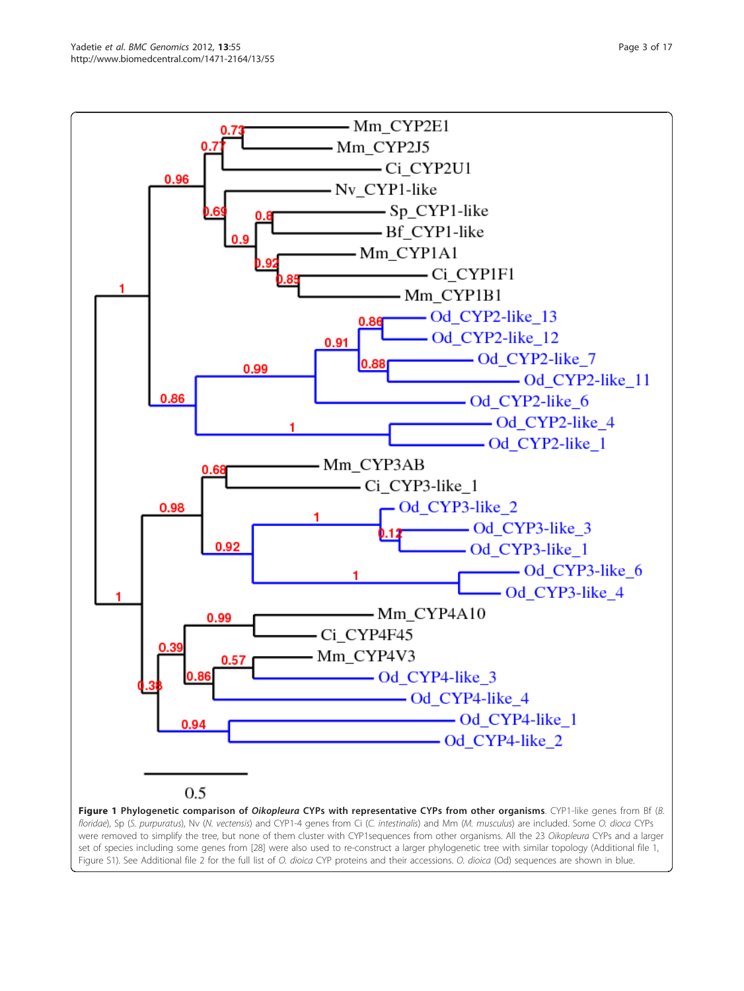<span id="page-2-0"></span>

floridae), Sp (S. purpuratus), Nv (N. vectensis) and CYP1-4 genes from Ci (C. intestinalis) and Mm (M. musculus) are included. Some O. dioca CYPs were removed to simplify the tree, but none of them cluster with CYP1sequences from other organisms. All the 23 Oikopleura CYPs and a larger set of species including some genes from [[28\]](#page-15-0) were also used to re-construct a larger phylogenetic tree with similar topology (Additional file [1](#page-14-0), Figure S1). See Additional file [2](#page-14-0) for the full list of O. dioica CYP proteins and their accessions. O. dioica (Od) sequences are shown in blue.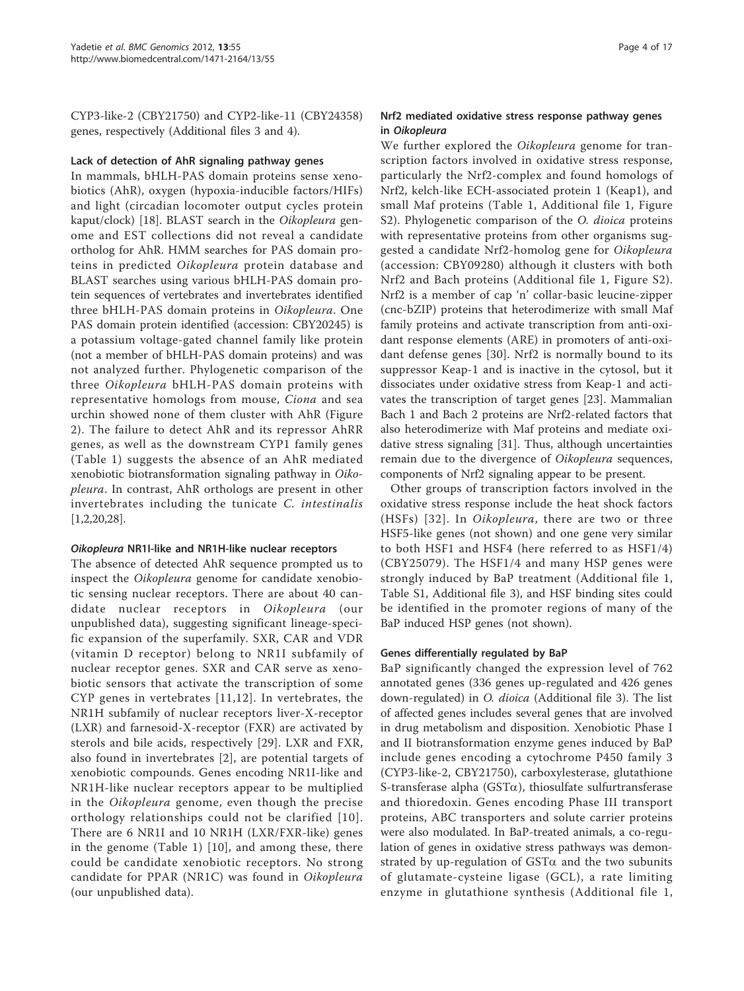CYP3-like-2 (CBY21750) and CYP2-like-11 (CBY24358) genes, respectively (Additional files [3](#page-14-0) and [4\)](#page-14-0).

#### Lack of detection of AhR signaling pathway genes

In mammals, bHLH-PAS domain proteins sense xenobiotics (AhR), oxygen (hypoxia-inducible factors/HIFs) and light (circadian locomoter output cycles protein kaput/clock) [[18](#page-15-0)]. BLAST search in the Oikopleura genome and EST collections did not reveal a candidate ortholog for AhR. HMM searches for PAS domain proteins in predicted Oikopleura protein database and BLAST searches using various bHLH-PAS domain protein sequences of vertebrates and invertebrates identified three bHLH-PAS domain proteins in Oikopleura. One PAS domain protein identified (accession: CBY20245) is a potassium voltage-gated channel family like protein (not a member of bHLH-PAS domain proteins) and was not analyzed further. Phylogenetic comparison of the three Oikopleura bHLH-PAS domain proteins with representative homologs from mouse, Ciona and sea urchin showed none of them cluster with AhR (Figure [2\)](#page-4-0). The failure to detect AhR and its repressor AhRR genes, as well as the downstream CYP1 family genes (Table [1\)](#page-5-0) suggests the absence of an AhR mediated xenobiotic biotransformation signaling pathway in Oikopleura. In contrast, AhR orthologs are present in other invertebrates including the tunicate C. intestinalis [[1,2,20,28\]](#page-15-0).

#### Oikopleura NR1I-like and NR1H-like nuclear receptors

The absence of detected AhR sequence prompted us to inspect the Oikopleura genome for candidate xenobiotic sensing nuclear receptors. There are about 40 candidate nuclear receptors in Oikopleura (our unpublished data), suggesting significant lineage-specific expansion of the superfamily. SXR, CAR and VDR (vitamin D receptor) belong to NR1I subfamily of nuclear receptor genes. SXR and CAR serve as xenobiotic sensors that activate the transcription of some CYP genes in vertebrates [[11](#page-15-0),[12](#page-15-0)]. In vertebrates, the NR1H subfamily of nuclear receptors liver-X-receptor (LXR) and farnesoid-X-receptor (FXR) are activated by sterols and bile acids, respectively [\[29](#page-15-0)]. LXR and FXR, also found in invertebrates [[2\]](#page-15-0), are potential targets of xenobiotic compounds. Genes encoding NR1I-like and NR1H-like nuclear receptors appear to be multiplied in the Oikopleura genome, even though the precise orthology relationships could not be clarified [[10\]](#page-15-0). There are 6 NR1I and 10 NR1H (LXR/FXR-like) genes in the genome (Table [1](#page-5-0)) [\[10\]](#page-15-0), and among these, there could be candidate xenobiotic receptors. No strong candidate for PPAR (NR1C) was found in Oikopleura (our unpublished data).

# Nrf2 mediated oxidative stress response pathway genes in Oikopleura

We further explored the Oikopleura genome for transcription factors involved in oxidative stress response, particularly the Nrf2-complex and found homologs of Nrf2, kelch-like ECH-associated protein 1 (Keap1), and small Maf proteins (Table [1,](#page-5-0) Additional file [1](#page-14-0), Figure S2). Phylogenetic comparison of the *O. dioica* proteins with representative proteins from other organisms suggested a candidate Nrf2-homolog gene for Oikopleura (accession: CBY09280) although it clusters with both Nrf2 and Bach proteins (Additional file [1,](#page-14-0) Figure S2). Nrf2 is a member of cap 'n' collar-basic leucine-zipper (cnc-bZIP) proteins that heterodimerize with small Maf family proteins and activate transcription from anti-oxidant response elements (ARE) in promoters of anti-oxidant defense genes [[30\]](#page-15-0). Nrf2 is normally bound to its suppressor Keap-1 and is inactive in the cytosol, but it dissociates under oxidative stress from Keap-1 and activates the transcription of target genes [\[23](#page-15-0)]. Mammalian Bach 1 and Bach 2 proteins are Nrf2-related factors that also heterodimerize with Maf proteins and mediate oxidative stress signaling [\[31](#page-15-0)]. Thus, although uncertainties remain due to the divergence of Oikopleura sequences, components of Nrf2 signaling appear to be present.

Other groups of transcription factors involved in the oxidative stress response include the heat shock factors (HSFs) [[32\]](#page-16-0). In Oikopleura, there are two or three HSF5-like genes (not shown) and one gene very similar to both HSF1 and HSF4 (here referred to as HSF1/4) (CBY25079). The HSF1/4 and many HSP genes were strongly induced by BaP treatment (Additional file [1](#page-14-0), Table S1, Additional file [3](#page-14-0)), and HSF binding sites could be identified in the promoter regions of many of the BaP induced HSP genes (not shown).

#### Genes differentially regulated by BaP

BaP significantly changed the expression level of 762 annotated genes (336 genes up-regulated and 426 genes down-regulated) in *O. dioica* (Additional file [3](#page-14-0)). The list of affected genes includes several genes that are involved in drug metabolism and disposition. Xenobiotic Phase I and II biotransformation enzyme genes induced by BaP include genes encoding a cytochrome P450 family 3 (CYP3-like-2, CBY21750), carboxylesterase, glutathione S-transferase alpha ( $\text{GST}\alpha$ ), thiosulfate sulfurtransferase and thioredoxin. Genes encoding Phase III transport proteins, ABC transporters and solute carrier proteins were also modulated. In BaP-treated animals, a co-regulation of genes in oxidative stress pathways was demonstrated by up-regulation of  $GST\alpha$  and the two subunits of glutamate-cysteine ligase (GCL), a rate limiting enzyme in glutathione synthesis (Additional file [1](#page-14-0),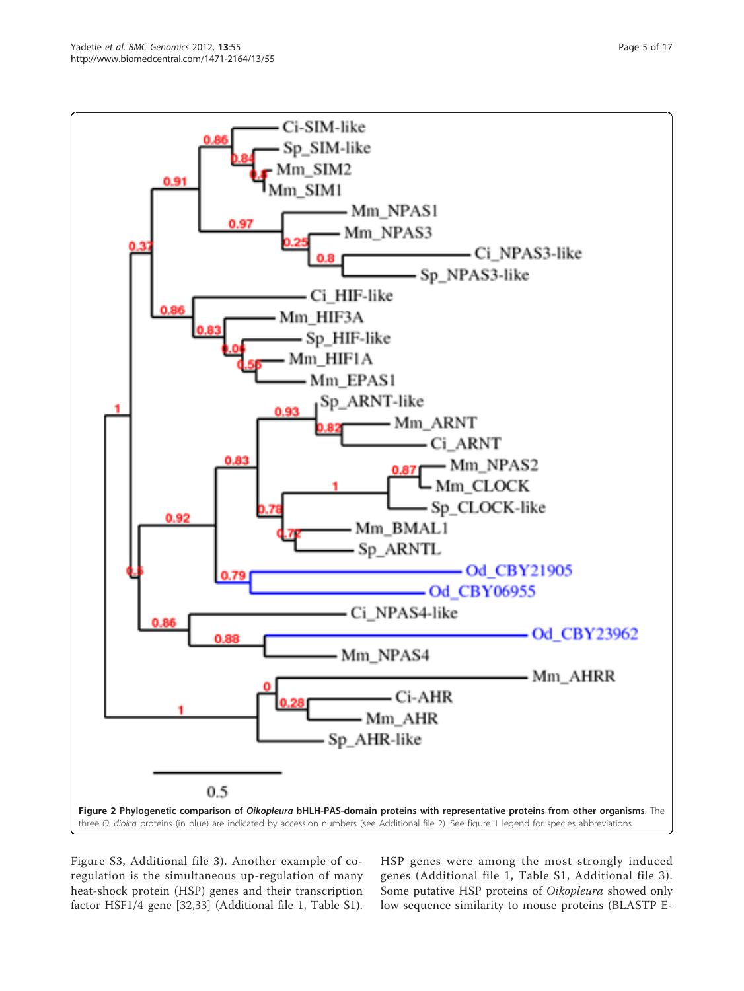<span id="page-4-0"></span>

Figure S3, Additional file [3](#page-14-0)). Another example of coregulation is the simultaneous up-regulation of many heat-shock protein (HSP) genes and their transcription factor HSF1/4 gene [[32,33\]](#page-16-0) (Additional file [1](#page-14-0), Table S1). HSP genes were among the most strongly induced genes (Additional file [1,](#page-14-0) Table S1, Additional file [3\)](#page-14-0). Some putative HSP proteins of Oikopleura showed only low sequence similarity to mouse proteins (BLASTP E-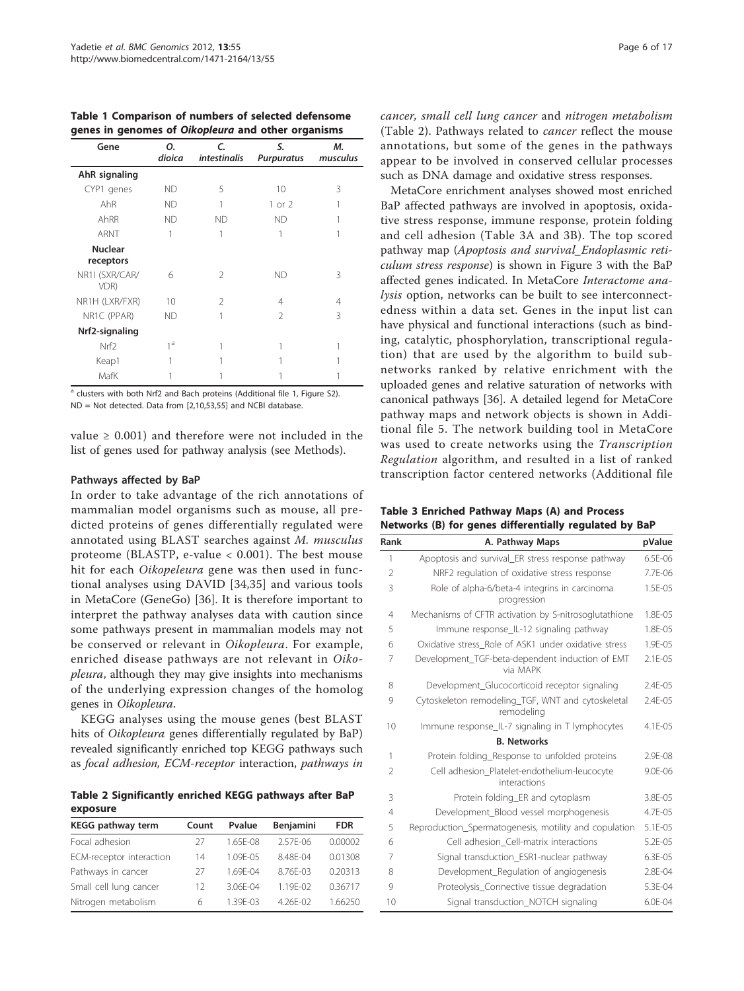<span id="page-5-0"></span>Table 1 Comparison of numbers of selected defensome genes in genomes of Oikopleura and other organisms

| Gene                        | Ο.<br>dioica   | $\epsilon$<br><i>intestinalis</i> | S.<br><b>Purpuratus</b> | М.<br>musculus |
|-----------------------------|----------------|-----------------------------------|-------------------------|----------------|
| AhR signaling               |                |                                   |                         |                |
| CYP1 genes                  | <b>ND</b>      | 5                                 | 10                      | 3              |
| AhR                         | <b>ND</b>      | 1                                 | $1$ or $2$              |                |
| AhRR                        | <b>ND</b>      | <b>ND</b>                         | <b>ND</b>               |                |
| ARNT                        |                | 1                                 |                         |                |
| <b>Nuclear</b><br>receptors |                |                                   |                         |                |
| NR1I (SXR/CAR/<br>VDR)      | 6              | $\mathfrak{D}$                    | <b>ND</b>               | 3              |
| NR1H (LXR/FXR)              | 10             | $\mathfrak{D}$                    | 4                       | 4              |
| NR1C (PPAR)                 | <b>ND</b>      | 1                                 | $\mathfrak{D}$          | 3              |
| Nrf2-signaling              |                |                                   |                         |                |
| Nrf <sub>2</sub>            | 1 <sup>d</sup> |                                   |                         |                |
| Keap1                       |                |                                   |                         |                |
| MafK                        |                |                                   |                         |                |

<sup>a</sup> clusters with both Nrf2 and Bach proteins (Additional file [1](#page-14-0), Figure S2). ND = Not detected. Data from [\[2,10,](#page-15-0)[53](#page-16-0),[55\]](#page-16-0) and NCBI database.

value  $\geq 0.001$ ) and therefore were not included in the list of genes used for pathway analysis (see Methods).

#### Pathways affected by BaP

In order to take advantage of the rich annotations of mammalian model organisms such as mouse, all predicted proteins of genes differentially regulated were annotated using BLAST searches against M. musculus proteome (BLASTP, e-value < 0.001). The best mouse hit for each Oikopeleura gene was then used in functional analyses using DAVID [[34,35](#page-16-0)] and various tools in MetaCore (GeneGo) [\[36](#page-16-0)]. It is therefore important to interpret the pathway analyses data with caution since some pathways present in mammalian models may not be conserved or relevant in Oikopleura. For example, enriched disease pathways are not relevant in Oikopleura, although they may give insights into mechanisms of the underlying expression changes of the homolog genes in Oikopleura.

KEGG analyses using the mouse genes (best BLAST hits of *Oikopleura* genes differentially regulated by BaP) revealed significantly enriched top KEGG pathways such as focal adhesion, ECM-receptor interaction, pathways in

Table 2 Significantly enriched KEGG pathways after BaP exposure

| KEGG pathway term        | Count | Pvalue       | <b>Benjamini</b> | <b>FDR</b> |
|--------------------------|-------|--------------|------------------|------------|
| Focal adhesion           | 27    | 1.65F-08     | $2.57F - 06$     | 0.00002    |
| ECM-receptor interaction | 14    | 1.09F-05     | 8.48F-04         | 0.01308    |
| Pathways in cancer       | 27    | 169F-04      | 8.76F-03         | 0.20313    |
| Small cell lung cancer   | 12    | $3.06F - 04$ | 119F-02          | 0.36717    |
| Nitrogen metabolism      | 6     | 139F-03      | 426F-02          | 1.66250    |

cancer, small cell lung cancer and nitrogen metabolism (Table 2). Pathways related to cancer reflect the mouse annotations, but some of the genes in the pathways appear to be involved in conserved cellular processes such as DNA damage and oxidative stress responses.

MetaCore enrichment analyses showed most enriched BaP affected pathways are involved in apoptosis, oxidative stress response, immune response, protein folding and cell adhesion (Table 3A and 3B). The top scored pathway map (Apoptosis and survival\_Endoplasmic reticulum stress response) is shown in Figure [3](#page-6-0) with the BaP affected genes indicated. In MetaCore Interactome analysis option, networks can be built to see interconnectedness within a data set. Genes in the input list can have physical and functional interactions (such as binding, catalytic, phosphorylation, transcriptional regulation) that are used by the algorithm to build subnetworks ranked by relative enrichment with the uploaded genes and relative saturation of networks with canonical pathways [\[36\]](#page-16-0). A detailed legend for MetaCore pathway maps and network objects is shown in Additional file [5](#page-14-0). The network building tool in MetaCore was used to create networks using the Transcription Regulation algorithm, and resulted in a list of ranked transcription factor centered networks (Additional file

Table 3 Enriched Pathway Maps (A) and Process Networks (B) for genes differentially regulated by BaP

| Rank           | A. Pathway Maps                                                 | pValue       |
|----------------|-----------------------------------------------------------------|--------------|
| 1              | Apoptosis and survival ER stress response pathway               | 6.5E-06      |
| $\overline{2}$ | NRF2 regulation of oxidative stress response                    | 7.7F-06      |
| 3              | Role of alpha-6/beta-4 integrins in carcinoma<br>progression    | $1.5F - 0.5$ |
| $\overline{4}$ | Mechanisms of CFTR activation by S-nitrosoglutathione           | $1.8F - 0.5$ |
| 5              | Immune response_IL-12 signaling pathway                         | 1.8E-05      |
| 6              | Oxidative stress Role of ASK1 under oxidative stress            | 1.9E-05      |
| 7              | Development TGF-beta-dependent induction of EMT<br>via MAPK     | $2.1E - 0.5$ |
| 8              | Development_Glucocorticoid receptor signaling                   | $2.4F - 0.5$ |
| 9              | Cytoskeleton remodeling_TGF, WNT and cytoskeletal<br>remodeling | $2.4F - 0.5$ |
| 10             | Immune response_IL-7 signaling in T lymphocytes                 | 4.1E-05      |
|                | <b>B. Networks</b>                                              |              |
| 1              | Protein folding Response to unfolded proteins                   | $2.9F - 08$  |
| $\overline{2}$ | Cell adhesion Platelet-endothelium-leucocyte<br>interactions    | $9.0F - 06$  |
| 3              | Protein folding_ER and cytoplasm                                | 3.8E-05      |
| $\overline{4}$ | Development Blood vessel morphogenesis                          | 4.7E-05      |
| 5              | Reproduction_Spermatogenesis, motility and copulation           | 5.1E-05      |
| 6              | Cell adhesion Cell-matrix interactions                          | 5.2E-05      |
| 7              | Signal transduction_ESR1-nuclear pathway                        | 6.3E-05      |
| 8              | Development_Regulation of angiogenesis                          | 2.8E-04      |
| 9              | Proteolysis_Connective tissue degradation                       | 5.3E-04      |
| 10             | Signal transduction_NOTCH signaling                             | 6.0E-04      |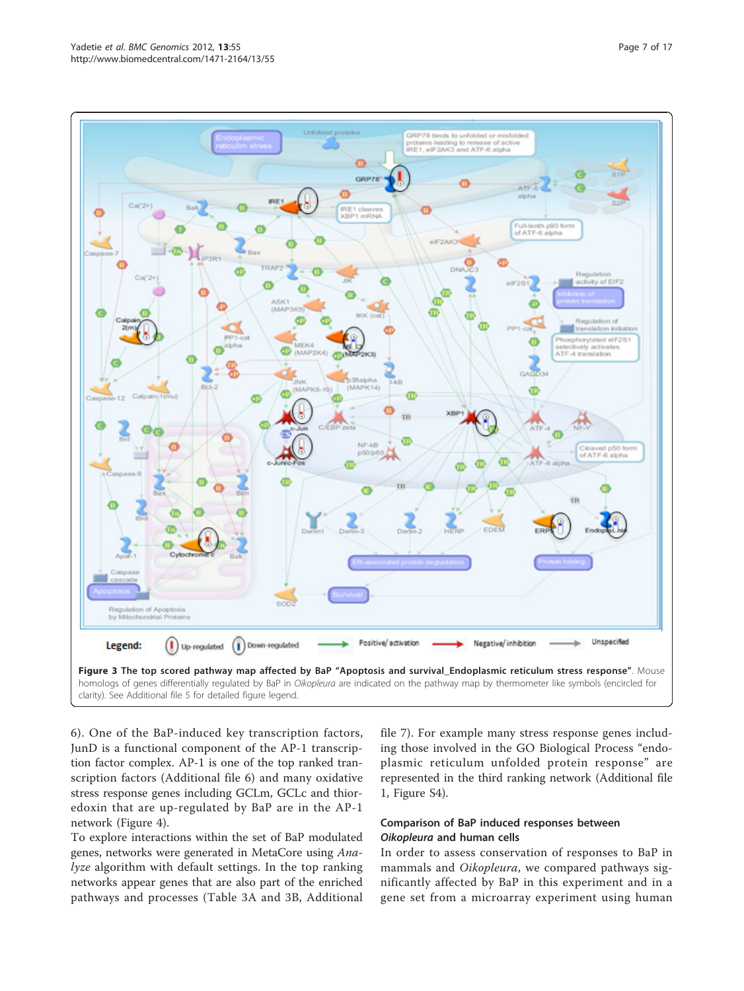<span id="page-6-0"></span>

clarity). See Additional file [5](#page-14-0) for detailed figure legend.

[6\)](#page-14-0). One of the BaP-induced key transcription factors, JunD is a functional component of the AP-1 transcription factor complex. AP-1 is one of the top ranked transcription factors (Additional file [6](#page-14-0)) and many oxidative stress response genes including GCLm, GCLc and thioredoxin that are up-regulated by BaP are in the AP-1 network (Figure [4](#page-7-0)).

To explore interactions within the set of BaP modulated genes, networks were generated in MetaCore using Analyze algorithm with default settings. In the top ranking networks appear genes that are also part of the enriched pathways and processes (Table [3A](#page-5-0) and [3B](#page-5-0), Additional file [7\)](#page-14-0). For example many stress response genes including those involved in the GO Biological Process "endoplasmic reticulum unfolded protein response" are represented in the third ranking network (Additional file [1,](#page-14-0) Figure S4).

# Comparison of BaP induced responses between Oikopleura and human cells

In order to assess conservation of responses to BaP in mammals and Oikopleura, we compared pathways significantly affected by BaP in this experiment and in a gene set from a microarray experiment using human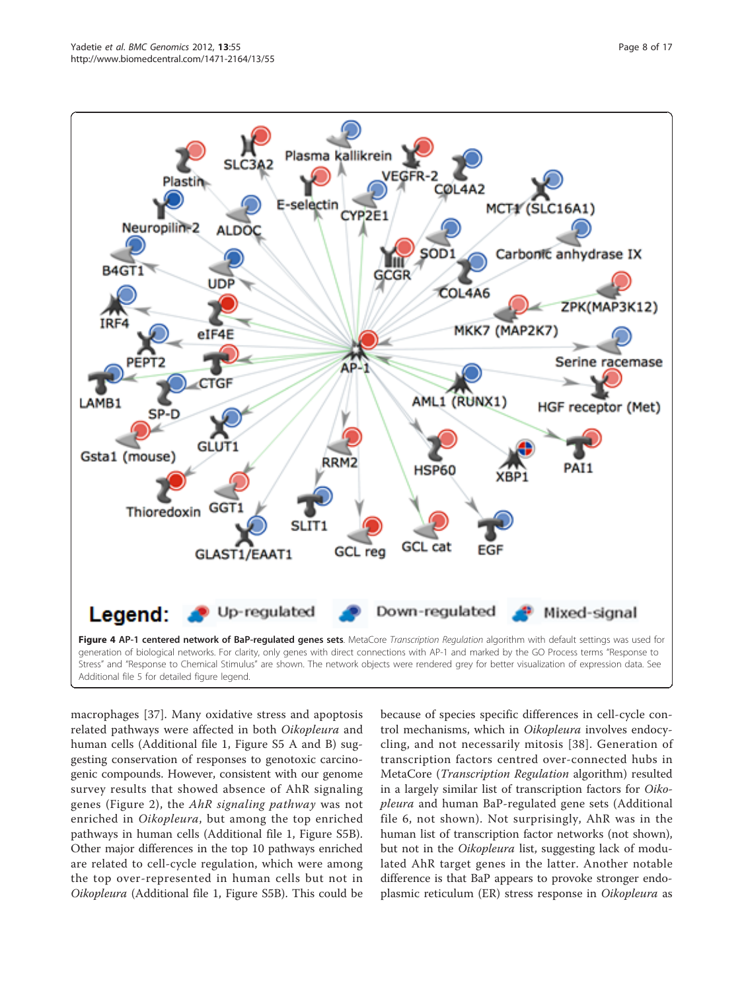<span id="page-7-0"></span>

Additional file [5](#page-14-0) for detailed figure legend.

macrophages [\[37](#page-16-0)]. Many oxidative stress and apoptosis related pathways were affected in both Oikopleura and human cells (Additional file [1](#page-14-0), Figure S5 A and B) suggesting conservation of responses to genotoxic carcinogenic compounds. However, consistent with our genome survey results that showed absence of AhR signaling genes (Figure [2\)](#page-4-0), the AhR signaling pathway was not enriched in Oikopleura, but among the top enriched pathways in human cells (Additional file [1](#page-14-0), Figure S5B). Other major differences in the top 10 pathways enriched are related to cell-cycle regulation, which were among the top over-represented in human cells but not in Oikopleura (Additional file [1](#page-14-0), Figure S5B). This could be

because of species specific differences in cell-cycle control mechanisms, which in Oikopleura involves endocycling, and not necessarily mitosis [[38\]](#page-16-0). Generation of transcription factors centred over-connected hubs in MetaCore (Transcription Regulation algorithm) resulted in a largely similar list of transcription factors for Oikopleura and human BaP-regulated gene sets (Additional file [6,](#page-14-0) not shown). Not surprisingly, AhR was in the human list of transcription factor networks (not shown), but not in the Oikopleura list, suggesting lack of modulated AhR target genes in the latter. Another notable difference is that BaP appears to provoke stronger endoplasmic reticulum (ER) stress response in Oikopleura as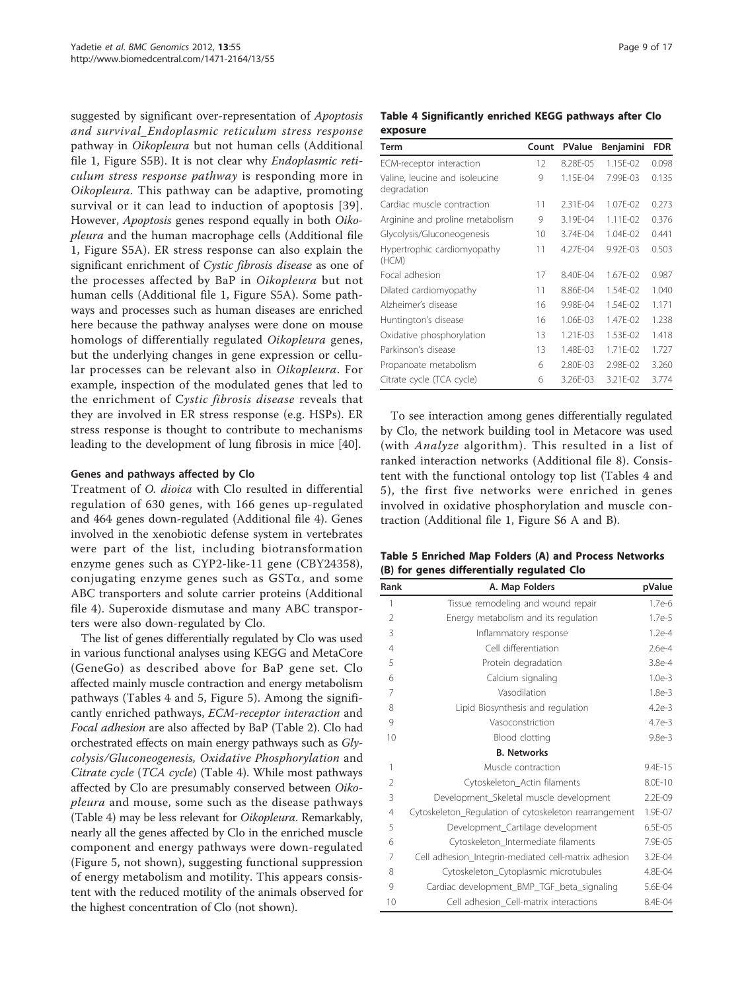<span id="page-8-0"></span>suggested by significant over-representation of Apoptosis and survival\_Endoplasmic reticulum stress response pathway in Oikopleura but not human cells (Additional file [1,](#page-14-0) Figure S5B). It is not clear why Endoplasmic reticulum stress response pathway is responding more in Oikopleura. This pathway can be adaptive, promoting survival or it can lead to induction of apoptosis [[39\]](#page-16-0). However, Apoptosis genes respond equally in both Oikopleura and the human macrophage cells (Additional file [1,](#page-14-0) Figure S5A). ER stress response can also explain the significant enrichment of Cystic fibrosis disease as one of the processes affected by BaP in Oikopleura but not human cells (Additional file [1,](#page-14-0) Figure S5A). Some pathways and processes such as human diseases are enriched here because the pathway analyses were done on mouse homologs of differentially regulated Oikopleura genes, but the underlying changes in gene expression or cellular processes can be relevant also in Oikopleura. For example, inspection of the modulated genes that led to the enrichment of Cystic fibrosis disease reveals that they are involved in ER stress response (e.g. HSPs). ER stress response is thought to contribute to mechanisms leading to the development of lung fibrosis in mice [\[40\]](#page-16-0).

# Genes and pathways affected by Clo

Treatment of O. dioica with Clo resulted in differential regulation of 630 genes, with 166 genes up-regulated and 464 genes down-regulated (Additional file [4\)](#page-14-0). Genes involved in the xenobiotic defense system in vertebrates were part of the list, including biotransformation enzyme genes such as CYP2-like-11 gene (CBY24358), conjugating enzyme genes such as  $GST\alpha$ , and some ABC transporters and solute carrier proteins (Additional file [4](#page-14-0)). Superoxide dismutase and many ABC transporters were also down-regulated by Clo.

The list of genes differentially regulated by Clo was used in various functional analyses using KEGG and MetaCore (GeneGo) as described above for BaP gene set. Clo affected mainly muscle contraction and energy metabolism pathways (Tables 4 and 5, Figure [5](#page-9-0)). Among the significantly enriched pathways, ECM-receptor interaction and Focal adhesion are also affected by BaP (Table [2\)](#page-5-0). Clo had orchestrated effects on main energy pathways such as Glycolysis/Gluconeogenesis, Oxidative Phosphorylation and Citrate cycle (TCA cycle) (Table 4). While most pathways affected by Clo are presumably conserved between Oikopleura and mouse, some such as the disease pathways (Table 4) may be less relevant for Oikopleura. Remarkably, nearly all the genes affected by Clo in the enriched muscle component and energy pathways were down-regulated (Figure [5,](#page-9-0) not shown), suggesting functional suppression of energy metabolism and motility. This appears consistent with the reduced motility of the animals observed for the highest concentration of Clo (not shown).

# Table 4 Significantly enriched KEGG pathways after Clo exposure

| <b>Term</b>                                   | Count | <b>PValue</b> | Benjamini    | <b>FDR</b> |
|-----------------------------------------------|-------|---------------|--------------|------------|
| ECM-receptor interaction                      | 12    | 8.28E-05      | 1.15F-02     | 0.098      |
| Valine, leucine and isoleucine<br>degradation | 9     | 1.15E-04      | 7.99E-03     | 0.135      |
| Cardiac muscle contraction                    | 11    | $2.31F - 04$  | 1.07F-02     | 0.273      |
| Arginine and proline metabolism               | 9     | 3.19E-04      | $1.11F - 02$ | 0.376      |
| Glycolysis/Gluconeogenesis                    | 10    | 3.74E-04      | 1.04E-02     | 0.441      |
| Hypertrophic cardiomyopathy<br>(HCM)          | 11    | 4.27F-04      | $9.92F - 03$ | 0.503      |
| Focal adhesion                                | 17    | 8.40F-04      | 1.67F-02     | 0.987      |
| Dilated cardiomyopathy                        | 11    | 8.86F-04      | 1.54F-02     | 1.040      |
| Alzheimer's disease                           | 16    | 9.98E-04      | 1.54E-02     | 1.171      |
| Huntington's disease                          | 16    | 1.06F-03      | 1.47F-02     | 1.238      |
| Oxidative phosphorylation                     | 13    | $1.21F - 03$  | 1.53F-02     | 1.418      |
| Parkinson's disease                           | 13    | 1.48E-03      | 1.71E-02     | 1.727      |
| Propanoate metabolism                         | 6     | 2.80E-03      | 2.98E-02     | 3.260      |
| Citrate cycle (TCA cycle)                     | 6     | 3.26E-03      | 3.21E-02     | 3.774      |

To see interaction among genes differentially regulated by Clo, the network building tool in Metacore was used (with Analyze algorithm). This resulted in a list of ranked interaction networks (Additional file [8](#page-14-0)). Consistent with the functional ontology top list (Tables 4 and 5), the first five networks were enriched in genes involved in oxidative phosphorylation and muscle contraction (Additional file [1](#page-14-0), Figure S6 A and B).

# Table 5 Enriched Map Folders (A) and Process Networks (B) for genes differentially regulated Clo

| Rank           | A. Map Folders                                        | pValue   |
|----------------|-------------------------------------------------------|----------|
| $\mathbf{1}$   | Tissue remodeling and wound repair                    | $1.7e-6$ |
| $\overline{2}$ | Energy metabolism and its regulation                  | $1.7e-5$ |
| 3              | Inflammatory response                                 | $1.2e-4$ |
| $\overline{4}$ | Cell differentiation                                  | $2.6e-4$ |
| 5              | Protein degradation                                   | 3.8e-4   |
| 6              | Calcium signaling                                     | $1.0e-3$ |
| 7              | Vasodilation                                          | $1.8e-3$ |
| 8              | Lipid Biosynthesis and regulation                     | $4.2e-3$ |
| 9              | Vasoconstriction                                      | $4.7e-3$ |
| 10             | Blood clotting                                        | $9.8e-3$ |
|                | <b>B. Networks</b>                                    |          |
| 1              | Muscle contraction                                    | 9.4E-15  |
| $\overline{2}$ | Cytoskeleton_Actin filaments                          | 8.0E-10  |
| 3              | Development_Skeletal muscle development               | 2.2E-09  |
| $\overline{4}$ | Cytoskeleton_Regulation of cytoskeleton rearrangement | 1.9E-07  |
| 5              | Development_Cartilage development                     | 6.5E-05  |
| 6              | Cytoskeleton_Intermediate filaments                   | 7.9E-05  |
| 7              | Cell adhesion_Integrin-mediated cell-matrix adhesion  | 3.2E-04  |
| 8              | Cytoskeleton_Cytoplasmic microtubules                 | 4.8E-04  |
| 9              | Cardiac development_BMP_TGF_beta_signaling            | 5.6E-04  |
| 10             | Cell adhesion_Cell-matrix interactions                | 8.4E-04  |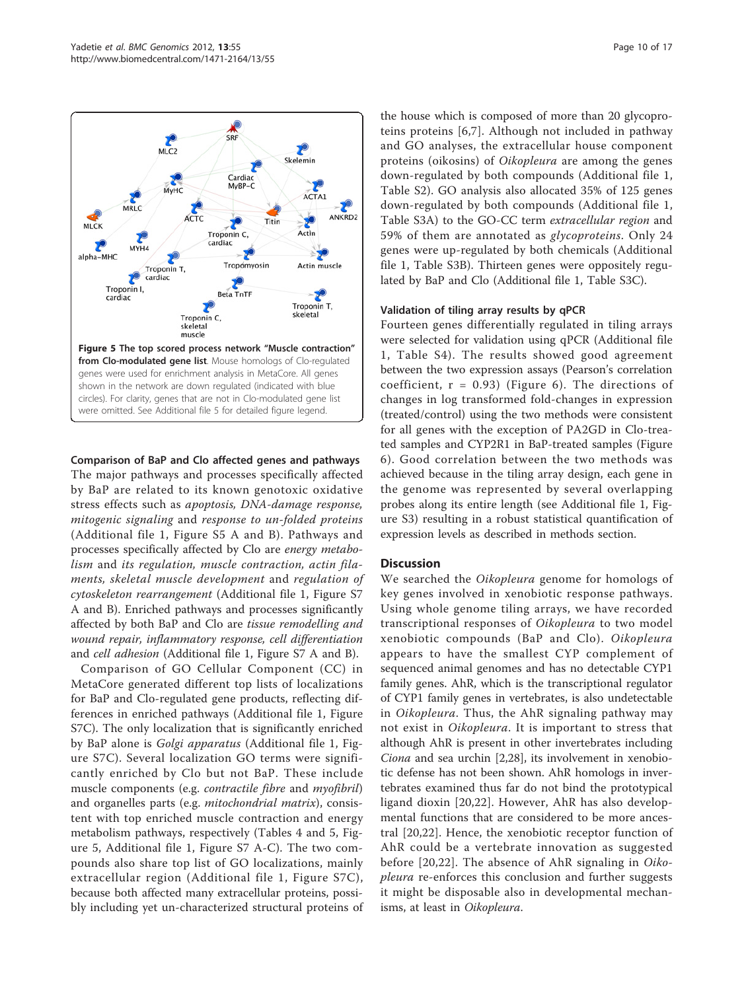<span id="page-9-0"></span>

Comparison of BaP and Clo affected genes and pathways The major pathways and processes specifically affected

by BaP are related to its known genotoxic oxidative stress effects such as apoptosis, DNA-damage response, mitogenic signaling and response to un-folded proteins (Additional file [1,](#page-14-0) Figure S5 A and B). Pathways and processes specifically affected by Clo are energy metabolism and its regulation, muscle contraction, actin filaments, skeletal muscle development and regulation of cytoskeleton rearrangement (Additional file [1](#page-14-0), Figure S7 A and B). Enriched pathways and processes significantly affected by both BaP and Clo are tissue remodelling and wound repair, inflammatory response, cell differentiation and cell adhesion (Additional file [1](#page-14-0), Figure S7 A and B).

Comparison of GO Cellular Component (CC) in MetaCore generated different top lists of localizations for BaP and Clo-regulated gene products, reflecting differences in enriched pathways (Additional file [1,](#page-14-0) Figure S7C). The only localization that is significantly enriched by BaP alone is Golgi apparatus (Additional file [1,](#page-14-0) Figure S7C). Several localization GO terms were significantly enriched by Clo but not BaP. These include muscle components (e.g. *contractile fibre* and *myofibril*) and organelles parts (e.g. mitochondrial matrix), consistent with top enriched muscle contraction and energy metabolism pathways, respectively (Tables [4](#page-8-0) and [5,](#page-8-0) Figure 5, Additional file [1,](#page-14-0) Figure S7 A-C). The two compounds also share top list of GO localizations, mainly extracellular region (Additional file [1](#page-14-0), Figure S7C), because both affected many extracellular proteins, possibly including yet un-characterized structural proteins of

the house which is composed of more than 20 glycoproteins proteins [[6,7](#page-15-0)]. Although not included in pathway and GO analyses, the extracellular house component proteins (oikosins) of Oikopleura are among the genes down-regulated by both compounds (Additional file [1](#page-14-0), Table S2). GO analysis also allocated 35% of 125 genes down-regulated by both compounds (Additional file [1](#page-14-0), Table S3A) to the GO-CC term extracellular region and 59% of them are annotated as glycoproteins. Only 24 genes were up-regulated by both chemicals (Additional file [1,](#page-14-0) Table S3B). Thirteen genes were oppositely regulated by BaP and Clo (Additional file [1,](#page-14-0) Table S3C).

#### Validation of tiling array results by qPCR

Fourteen genes differentially regulated in tiling arrays were selected for validation using qPCR (Additional file [1](#page-14-0), Table S4). The results showed good agreement between the two expression assays (Pearson's correlation coefficient,  $r = 0.93$ ) (Figure [6\)](#page-10-0). The directions of changes in log transformed fold-changes in expression (treated/control) using the two methods were consistent for all genes with the exception of PA2GD in Clo-treated samples and CYP2R1 in BaP-treated samples (Figure [6](#page-10-0)). Good correlation between the two methods was achieved because in the tiling array design, each gene in the genome was represented by several overlapping probes along its entire length (see Additional file [1,](#page-14-0) Figure S3) resulting in a robust statistical quantification of expression levels as described in methods section.

# **Discussion**

We searched the Oikopleura genome for homologs of key genes involved in xenobiotic response pathways. Using whole genome tiling arrays, we have recorded transcriptional responses of Oikopleura to two model xenobiotic compounds (BaP and Clo). Oikopleura appears to have the smallest CYP complement of sequenced animal genomes and has no detectable CYP1 family genes. AhR, which is the transcriptional regulator of CYP1 family genes in vertebrates, is also undetectable in Oikopleura. Thus, the AhR signaling pathway may not exist in Oikopleura. It is important to stress that although AhR is present in other invertebrates including Ciona and sea urchin [[2,28](#page-15-0)], its involvement in xenobiotic defense has not been shown. AhR homologs in invertebrates examined thus far do not bind the prototypical ligand dioxin [[20,22](#page-15-0)]. However, AhR has also developmental functions that are considered to be more ancestral [[20,22](#page-15-0)]. Hence, the xenobiotic receptor function of AhR could be a vertebrate innovation as suggested before [\[20,22](#page-15-0)]. The absence of AhR signaling in Oikopleura re-enforces this conclusion and further suggests it might be disposable also in developmental mechanisms, at least in Oikopleura.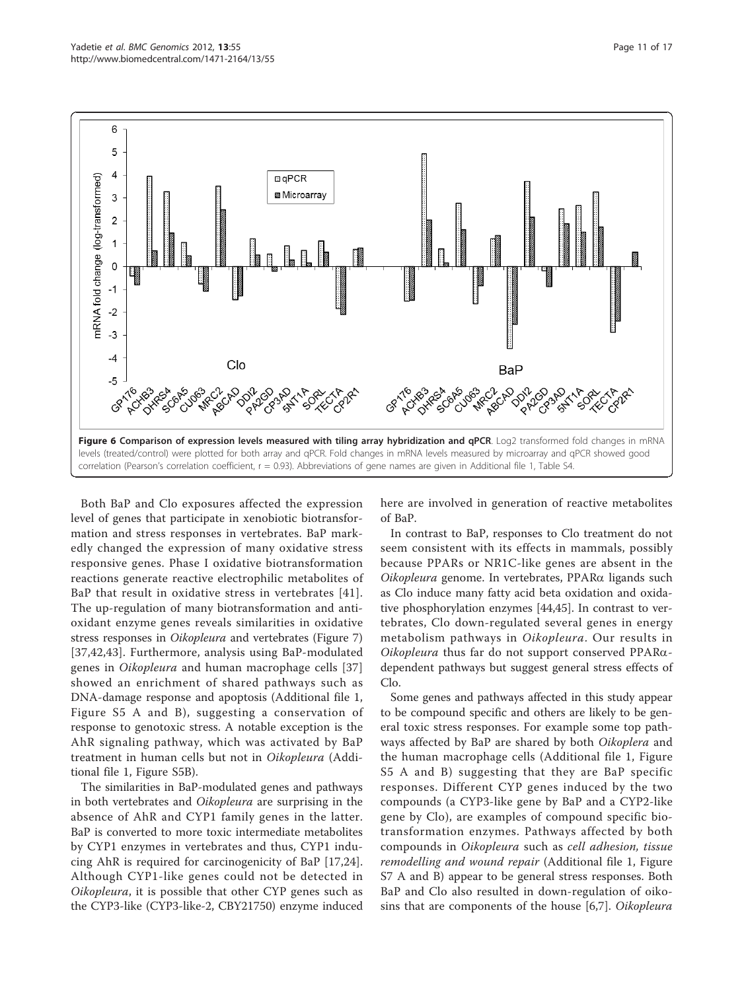<span id="page-10-0"></span>

Both BaP and Clo exposures affected the expression level of genes that participate in xenobiotic biotransformation and stress responses in vertebrates. BaP markedly changed the expression of many oxidative stress responsive genes. Phase I oxidative biotransformation reactions generate reactive electrophilic metabolites of BaP that result in oxidative stress in vertebrates [[41\]](#page-16-0). The up-regulation of many biotransformation and antioxidant enzyme genes reveals similarities in oxidative stress responses in Oikopleura and vertebrates (Figure [7](#page-11-0)) [[37,42,43](#page-16-0)]. Furthermore, analysis using BaP-modulated genes in Oikopleura and human macrophage cells [\[37](#page-16-0)] showed an enrichment of shared pathways such as DNA-damage response and apoptosis (Additional file [1](#page-14-0), Figure S5 A and B), suggesting a conservation of response to genotoxic stress. A notable exception is the AhR signaling pathway, which was activated by BaP treatment in human cells but not in Oikopleura (Additional file [1](#page-14-0), Figure S5B).

The similarities in BaP-modulated genes and pathways in both vertebrates and Oikopleura are surprising in the absence of AhR and CYP1 family genes in the latter. BaP is converted to more toxic intermediate metabolites by CYP1 enzymes in vertebrates and thus, CYP1 inducing AhR is required for carcinogenicity of BaP [[17,24](#page-15-0)]. Although CYP1-like genes could not be detected in Oikopleura, it is possible that other CYP genes such as the CYP3-like (CYP3-like-2, CBY21750) enzyme induced here are involved in generation of reactive metabolites of BaP.

In contrast to BaP, responses to Clo treatment do not seem consistent with its effects in mammals, possibly because PPARs or NR1C-like genes are absent in the Oikopleura genome. In vertebrates, PPARa ligands such as Clo induce many fatty acid beta oxidation and oxidative phosphorylation enzymes [[44,45](#page-16-0)]. In contrast to vertebrates, Clo down-regulated several genes in energy metabolism pathways in Oikopleura. Our results in Oikopleura thus far do not support conserved  $PPAR\alpha$ dependent pathways but suggest general stress effects of Clo.

Some genes and pathways affected in this study appear to be compound specific and others are likely to be general toxic stress responses. For example some top pathways affected by BaP are shared by both Oikoplera and the human macrophage cells (Additional file [1,](#page-14-0) Figure S5 A and B) suggesting that they are BaP specific responses. Different CYP genes induced by the two compounds (a CYP3-like gene by BaP and a CYP2-like gene by Clo), are examples of compound specific biotransformation enzymes. Pathways affected by both compounds in Oikopleura such as cell adhesion, tissue remodelling and wound repair (Additional file [1,](#page-14-0) Figure S7 A and B) appear to be general stress responses. Both BaP and Clo also resulted in down-regulation of oikosins that are components of the house [[6,7](#page-15-0)]. Oikopleura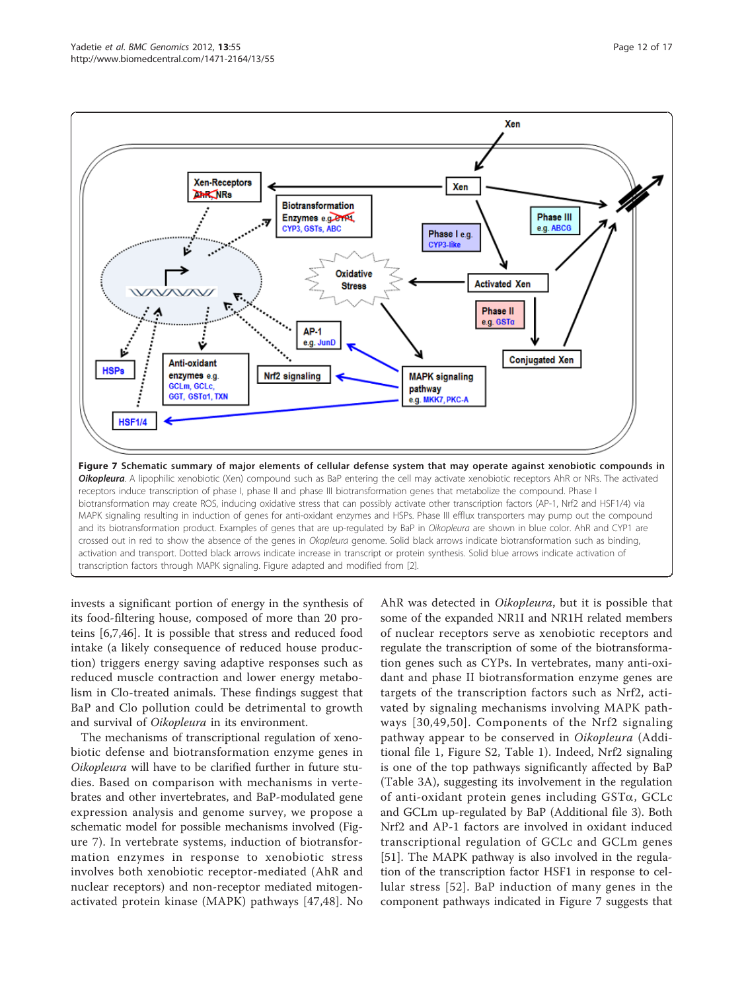<span id="page-11-0"></span>

invests a significant portion of energy in the synthesis of its food-filtering house, composed of more than 20 proteins [[6,7,](#page-15-0)[46\]](#page-16-0). It is possible that stress and reduced food intake (a likely consequence of reduced house production) triggers energy saving adaptive responses such as reduced muscle contraction and lower energy metabolism in Clo-treated animals. These findings suggest that BaP and Clo pollution could be detrimental to growth and survival of Oikopleura in its environment.

The mechanisms of transcriptional regulation of xenobiotic defense and biotransformation enzyme genes in Oikopleura will have to be clarified further in future studies. Based on comparison with mechanisms in vertebrates and other invertebrates, and BaP-modulated gene expression analysis and genome survey, we propose a schematic model for possible mechanisms involved (Figure 7). In vertebrate systems, induction of biotransformation enzymes in response to xenobiotic stress involves both xenobiotic receptor-mediated (AhR and nuclear receptors) and non-receptor mediated mitogenactivated protein kinase (MAPK) pathways [[47](#page-16-0),[48\]](#page-16-0). No

AhR was detected in Oikopleura, but it is possible that some of the expanded NR1I and NR1H related members of nuclear receptors serve as xenobiotic receptors and regulate the transcription of some of the biotransformation genes such as CYPs. In vertebrates, many anti-oxidant and phase II biotransformation enzyme genes are targets of the transcription factors such as Nrf2, activated by signaling mechanisms involving MAPK pathways [[30](#page-15-0),[49,50](#page-16-0)]. Components of the Nrf2 signaling pathway appear to be conserved in Oikopleura (Additional file [1](#page-14-0), Figure S2, Table [1\)](#page-5-0). Indeed, Nrf2 signaling is one of the top pathways significantly affected by BaP (Table [3A](#page-5-0)), suggesting its involvement in the regulation of anti-oxidant protein genes including  $GST\alpha$ ,  $GCLc$ and GCLm up-regulated by BaP (Additional file [3\)](#page-14-0). Both Nrf2 and AP-1 factors are involved in oxidant induced transcriptional regulation of GCLc and GCLm genes [[51\]](#page-16-0). The MAPK pathway is also involved in the regulation of the transcription factor HSF1 in response to cellular stress [[52](#page-16-0)]. BaP induction of many genes in the component pathways indicated in Figure 7 suggests that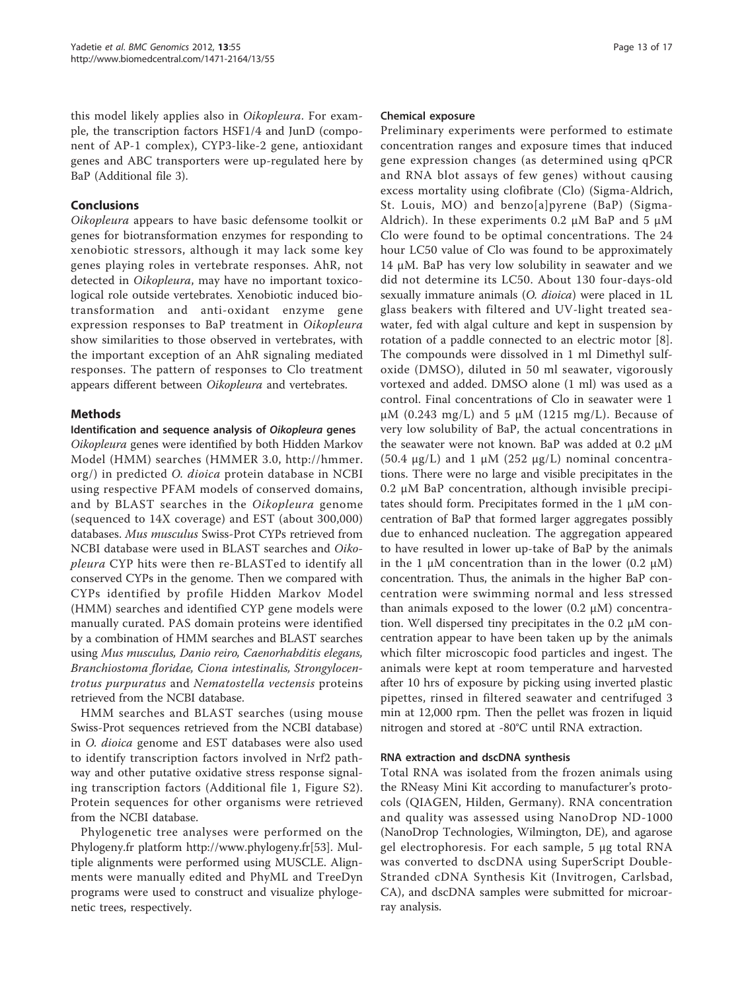this model likely applies also in Oikopleura. For example, the transcription factors HSF1/4 and JunD (component of AP-1 complex), CYP3-like-2 gene, antioxidant genes and ABC transporters were up-regulated here by BaP (Additional file [3](#page-14-0)).

# Conclusions

Oikopleura appears to have basic defensome toolkit or genes for biotransformation enzymes for responding to xenobiotic stressors, although it may lack some key genes playing roles in vertebrate responses. AhR, not detected in Oikopleura, may have no important toxicological role outside vertebrates. Xenobiotic induced biotransformation and anti-oxidant enzyme gene expression responses to BaP treatment in Oikopleura show similarities to those observed in vertebrates, with the important exception of an AhR signaling mediated responses. The pattern of responses to Clo treatment appears different between Oikopleura and vertebrates.

# Methods

#### Identification and sequence analysis of Oikopleura genes

Oikopleura genes were identified by both Hidden Markov Model (HMM) searches (HMMER 3.0, [http://hmmer.](http://hmmer.org/) [org/\)](http://hmmer.org/) in predicted O. dioica protein database in NCBI using respective PFAM models of conserved domains, and by BLAST searches in the Oikopleura genome (sequenced to 14X coverage) and EST (about 300,000) databases. Mus musculus Swiss-Prot CYPs retrieved from NCBI database were used in BLAST searches and Oikopleura CYP hits were then re-BLASTed to identify all conserved CYPs in the genome. Then we compared with CYPs identified by profile Hidden Markov Model (HMM) searches and identified CYP gene models were manually curated. PAS domain proteins were identified by a combination of HMM searches and BLAST searches using Mus musculus, Danio reiro, Caenorhabditis elegans, Branchiostoma floridae, Ciona intestinalis, Strongylocentrotus purpuratus and Nematostella vectensis proteins retrieved from the NCBI database.

HMM searches and BLAST searches (using mouse Swiss-Prot sequences retrieved from the NCBI database) in O. dioica genome and EST databases were also used to identify transcription factors involved in Nrf2 pathway and other putative oxidative stress response signaling transcription factors (Additional file [1](#page-14-0), Figure S2). Protein sequences for other organisms were retrieved from the NCBI database.

Phylogenetic tree analyses were performed on the Phylogeny.fr platform<http://www.phylogeny.fr>[[53](#page-16-0)]. Multiple alignments were performed using MUSCLE. Alignments were manually edited and PhyML and TreeDyn programs were used to construct and visualize phylogenetic trees, respectively.

#### Chemical exposure

Preliminary experiments were performed to estimate concentration ranges and exposure times that induced gene expression changes (as determined using qPCR and RNA blot assays of few genes) without causing excess mortality using clofibrate (Clo) (Sigma-Aldrich, St. Louis, MO) and benzo[a]pyrene (BaP) (Sigma-Aldrich). In these experiments 0.2  $\mu$ M BaP and 5  $\mu$ M Clo were found to be optimal concentrations. The 24 hour LC50 value of Clo was found to be approximately 14 μM. BaP has very low solubility in seawater and we did not determine its LC50. About 130 four-days-old sexually immature animals (O. dioica) were placed in 1L glass beakers with filtered and UV-light treated seawater, fed with algal culture and kept in suspension by rotation of a paddle connected to an electric motor [\[8](#page-15-0)]. The compounds were dissolved in 1 ml Dimethyl sulfoxide (DMSO), diluted in 50 ml seawater, vigorously vortexed and added. DMSO alone (1 ml) was used as a control. Final concentrations of Clo in seawater were 1 μM (0.243 mg/L) and 5 μM (1215 mg/L). Because of very low solubility of BaP, the actual concentrations in the seawater were not known. BaP was added at 0.2 μM (50.4 μg/L) and 1 μM (252 μg/L) nominal concentrations. There were no large and visible precipitates in the 0.2 μM BaP concentration, although invisible precipitates should form. Precipitates formed in the 1 μM concentration of BaP that formed larger aggregates possibly due to enhanced nucleation. The aggregation appeared to have resulted in lower up-take of BaP by the animals in the 1 μM concentration than in the lower  $(0.2 \mu M)$ concentration. Thus, the animals in the higher BaP concentration were swimming normal and less stressed than animals exposed to the lower  $(0.2 \mu M)$  concentration. Well dispersed tiny precipitates in the 0.2 μM concentration appear to have been taken up by the animals which filter microscopic food particles and ingest. The animals were kept at room temperature and harvested after 10 hrs of exposure by picking using inverted plastic pipettes, rinsed in filtered seawater and centrifuged 3 min at 12,000 rpm. Then the pellet was frozen in liquid nitrogen and stored at -80°C until RNA extraction.

#### RNA extraction and dscDNA synthesis

Total RNA was isolated from the frozen animals using the RNeasy Mini Kit according to manufacturer's protocols (QIAGEN, Hilden, Germany). RNA concentration and quality was assessed using NanoDrop ND-1000 (NanoDrop Technologies, Wilmington, DE), and agarose gel electrophoresis. For each sample, 5 μg total RNA was converted to dscDNA using SuperScript Double-Stranded cDNA Synthesis Kit (Invitrogen, Carlsbad, CA), and dscDNA samples were submitted for microarray analysis.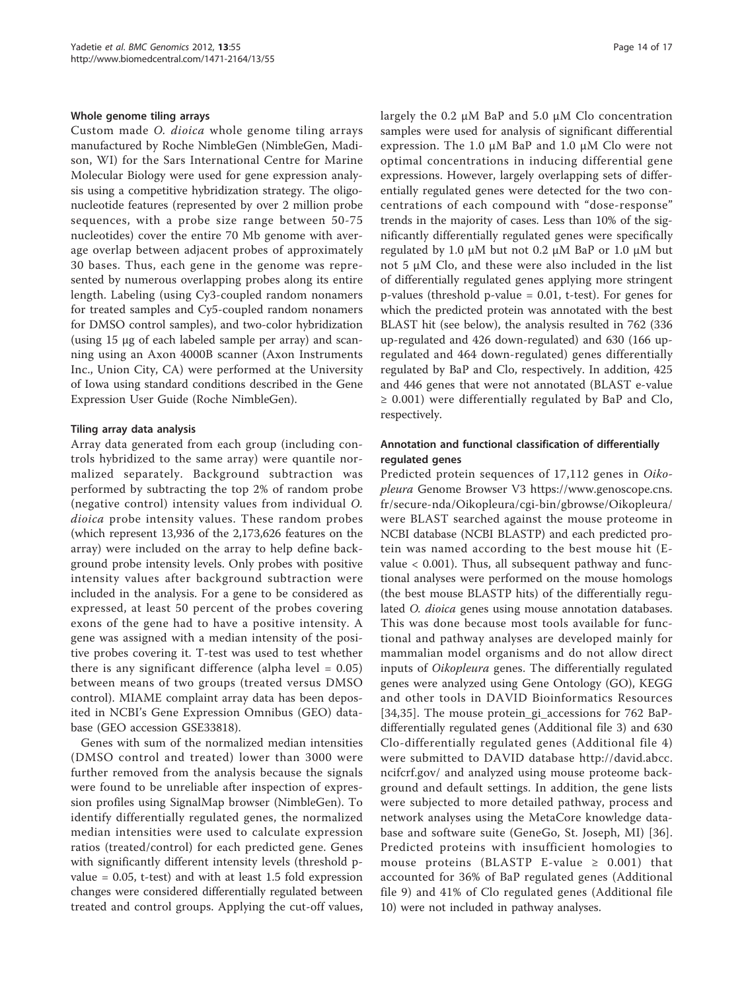#### Whole genome tiling arrays

Custom made O. dioica whole genome tiling arrays manufactured by Roche NimbleGen (NimbleGen, Madison, WI) for the Sars International Centre for Marine Molecular Biology were used for gene expression analysis using a competitive hybridization strategy. The oligonucleotide features (represented by over 2 million probe sequences, with a probe size range between 50-75 nucleotides) cover the entire 70 Mb genome with average overlap between adjacent probes of approximately 30 bases. Thus, each gene in the genome was represented by numerous overlapping probes along its entire length. Labeling (using Cy3-coupled random nonamers for treated samples and Cy5-coupled random nonamers for DMSO control samples), and two-color hybridization (using 15 μg of each labeled sample per array) and scanning using an Axon 4000B scanner (Axon Instruments Inc., Union City, CA) were performed at the University of Iowa using standard conditions described in the Gene Expression User Guide (Roche NimbleGen).

#### Tiling array data analysis

Array data generated from each group (including controls hybridized to the same array) were quantile normalized separately. Background subtraction was performed by subtracting the top 2% of random probe (negative control) intensity values from individual O. dioica probe intensity values. These random probes (which represent 13,936 of the 2,173,626 features on the array) were included on the array to help define background probe intensity levels. Only probes with positive intensity values after background subtraction were included in the analysis. For a gene to be considered as expressed, at least 50 percent of the probes covering exons of the gene had to have a positive intensity. A gene was assigned with a median intensity of the positive probes covering it. T-test was used to test whether there is any significant difference (alpha level  $= 0.05$ ) between means of two groups (treated versus DMSO control). MIAME complaint array data has been deposited in NCBI's Gene Expression Omnibus (GEO) database (GEO accession GSE33818).

Genes with sum of the normalized median intensities (DMSO control and treated) lower than 3000 were further removed from the analysis because the signals were found to be unreliable after inspection of expression profiles using SignalMap browser (NimbleGen). To identify differentially regulated genes, the normalized median intensities were used to calculate expression ratios (treated/control) for each predicted gene. Genes with significantly different intensity levels (threshold pvalue  $= 0.05$ , t-test) and with at least 1.5 fold expression changes were considered differentially regulated between treated and control groups. Applying the cut-off values, largely the 0.2 μM BaP and 5.0 μM Clo concentration samples were used for analysis of significant differential expression. The 1.0 μM BaP and 1.0 μM Clo were not optimal concentrations in inducing differential gene expressions. However, largely overlapping sets of differentially regulated genes were detected for the two concentrations of each compound with "dose-response" trends in the majority of cases. Less than 10% of the significantly differentially regulated genes were specifically regulated by 1.0 μM but not 0.2 μM BaP or 1.0 μM but not 5 μM Clo, and these were also included in the list of differentially regulated genes applying more stringent p-values (threshold p-value = 0.01, t-test). For genes for which the predicted protein was annotated with the best BLAST hit (see below), the analysis resulted in 762 (336 up-regulated and 426 down-regulated) and 630 (166 upregulated and 464 down-regulated) genes differentially regulated by BaP and Clo, respectively. In addition, 425 and 446 genes that were not annotated (BLAST e-value  $\geq$  0.001) were differentially regulated by BaP and Clo, respectively.

#### Annotation and functional classification of differentially regulated genes

Predicted protein sequences of 17,112 genes in Oikopleura Genome Browser V3 [https://www.genoscope.cns.](https://www.genoscope.cns.fr/secure-nda/Oikopleura/cgi-bin/gbrowse/Oikopleura/) [fr/secure-nda/Oikopleura/cgi-bin/gbrowse/Oikopleura/](https://www.genoscope.cns.fr/secure-nda/Oikopleura/cgi-bin/gbrowse/Oikopleura/) were BLAST searched against the mouse proteome in NCBI database (NCBI BLASTP) and each predicted protein was named according to the best mouse hit (Evalue  $< 0.001$ ). Thus, all subsequent pathway and functional analyses were performed on the mouse homologs (the best mouse BLASTP hits) of the differentially regulated O. dioica genes using mouse annotation databases. This was done because most tools available for functional and pathway analyses are developed mainly for mammalian model organisms and do not allow direct inputs of Oikopleura genes. The differentially regulated genes were analyzed using Gene Ontology (GO), KEGG and other tools in DAVID Bioinformatics Resources [[34,35](#page-16-0)]. The mouse protein\_gi\_accessions for 762 BaPdifferentially regulated genes (Additional file [3\)](#page-14-0) and 630 Clo-differentially regulated genes (Additional file [4](#page-14-0)) were submitted to DAVID database [http://david.abcc.](http://david.abcc.ncifcrf.gov/) [ncifcrf.gov/](http://david.abcc.ncifcrf.gov/) and analyzed using mouse proteome background and default settings. In addition, the gene lists were subjected to more detailed pathway, process and network analyses using the MetaCore knowledge database and software suite (GeneGo, St. Joseph, MI) [[36](#page-16-0)]. Predicted proteins with insufficient homologies to mouse proteins (BLASTP E-value  $\geq$  0.001) that accounted for 36% of BaP regulated genes (Additional file [9](#page-14-0)) and 41% of Clo regulated genes (Additional file [10](#page-14-0)) were not included in pathway analyses.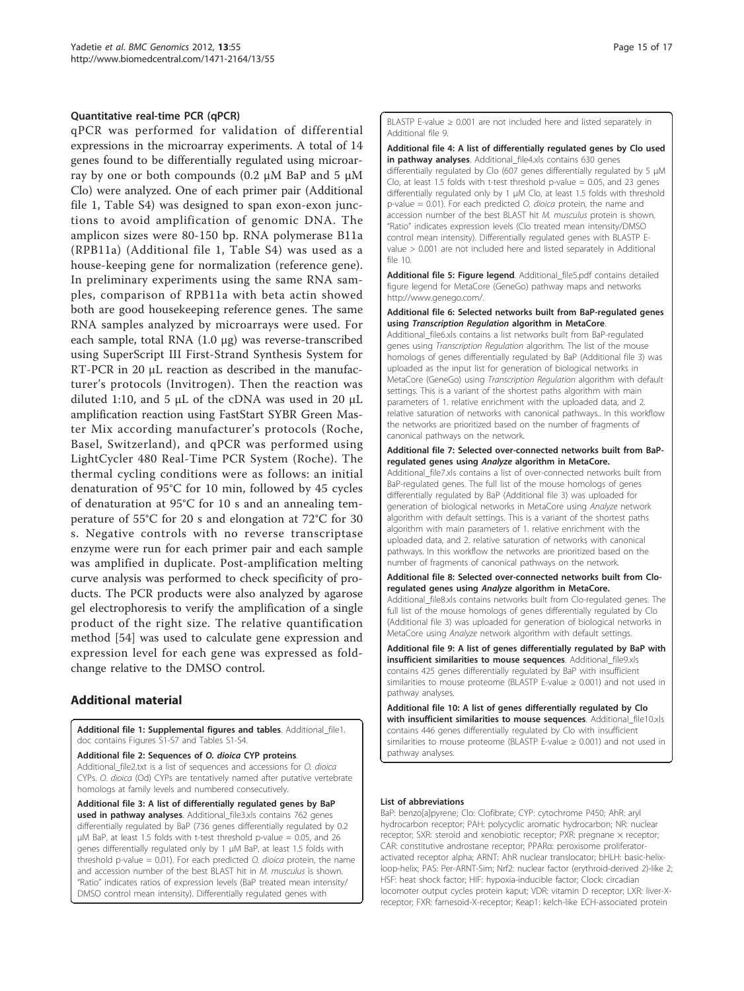#### <span id="page-14-0"></span>Quantitative real-time PCR (qPCR)

qPCR was performed for validation of differential expressions in the microarray experiments. A total of 14 genes found to be differentially regulated using microarray by one or both compounds (0.2 μM BaP and 5 μM Clo) were analyzed. One of each primer pair (Additional file 1, Table S4) was designed to span exon-exon junctions to avoid amplification of genomic DNA. The amplicon sizes were 80-150 bp. RNA polymerase B11a (RPB11a) (Additional file 1, Table S4) was used as a house-keeping gene for normalization (reference gene). In preliminary experiments using the same RNA samples, comparison of RPB11a with beta actin showed both are good housekeeping reference genes. The same RNA samples analyzed by microarrays were used. For each sample, total RNA (1.0 μg) was reverse-transcribed using SuperScript III First-Strand Synthesis System for RT-PCR in 20 μL reaction as described in the manufacturer's protocols (Invitrogen). Then the reaction was diluted 1:10, and 5 μL of the cDNA was used in 20 μL amplification reaction using FastStart SYBR Green Master Mix according manufacturer's protocols (Roche, Basel, Switzerland), and qPCR was performed using LightCycler 480 Real-Time PCR System (Roche). The thermal cycling conditions were as follows: an initial denaturation of 95°C for 10 min, followed by 45 cycles of denaturation at 95°C for 10 s and an annealing temperature of 55°C for 20 s and elongation at 72°C for 30 s. Negative controls with no reverse transcriptase enzyme were run for each primer pair and each sample was amplified in duplicate. Post-amplification melting curve analysis was performed to check specificity of products. The PCR products were also analyzed by agarose gel electrophoresis to verify the amplification of a single product of the right size. The relative quantification method [\[54](#page-16-0)] was used to calculate gene expression and expression level for each gene was expressed as foldchange relative to the DMSO control.

# Additional material

[Additional file 1: S](http://www.biomedcentral.com/content/supplementary/1471-2164-13-55-S1.DOC)upplemental figures and tables. Additional\_file1. doc contains Figures S1-S7 and Tables S1-S4.

[Additional file 2: S](http://www.biomedcentral.com/content/supplementary/1471-2164-13-55-S2.TXT)equences of O. dioica CYP proteins. Additional\_file2.txt is a list of sequences and accessions for O. dioica CYPs. O. dioica (Od) CYPs are tentatively named after putative vertebrate homologs at family levels and numbered consecutively.

[Additional file 3: A](http://www.biomedcentral.com/content/supplementary/1471-2164-13-55-S3.XLS) list of differentially regulated genes by BaP used in pathway analyses. Additional\_file3.xls contains 762 genes differentially regulated by BaP (736 genes differentially regulated by 0.2  $\mu$ M BaP, at least 1.5 folds with t-test threshold p-value = 0.05, and 26 genes differentially regulated only by 1 μM BaP, at least 1.5 folds with threshold p-value =  $0.01$ ). For each predicted *O. dioica* protein, the name and accession number of the best BLAST hit in M. musculus is shown. "Ratio" indicates ratios of expression levels (BaP treated mean intensity/ DMSO control mean intensity). Differentially regulated genes with

BLASTP E-value  $\geq 0.001$  are not included here and listed separately in Additional file 9.

[Additional file 4: A](http://www.biomedcentral.com/content/supplementary/1471-2164-13-55-S4.XLS) list of differentially regulated genes by Clo used in pathway analyses. Additional file4.xls contains 630 genes

differentially regulated by Clo (607 genes differentially regulated by 5 μM Clo, at least 1.5 folds with t-test threshold p-value  $= 0.05$ , and 23 genes differentially regulated only by 1 μM Clo, at least 1.5 folds with threshold p-value = 0.01). For each predicted O. dioica protein, the name and accession number of the best BLAST hit M. musculus protein is shown. "Ratio" indicates expression levels (Clo treated mean intensity/DMSO control mean intensity). Differentially regulated genes with BLASTP Evalue > 0.001 are not included here and listed separately in Additional file 10.

[Additional file 5: F](http://www.biomedcentral.com/content/supplementary/1471-2164-13-55-S5.PDF)igure legend. Additional file5.pdf contains detailed figure legend for MetaCore (GeneGo) pathway maps and networks http://www.genego.com/.

#### [Additional file 6: S](http://www.biomedcentral.com/content/supplementary/1471-2164-13-55-S6.XLS)elected networks built from BaP-regulated genes using Transcription Regulation algorithm in MetaCore.

Additional\_file6.xls contains a list networks built from BaP-regulated genes using Transcription Regulation algorithm. The list of the mouse homologs of genes differentially regulated by BaP (Additional file 3) was uploaded as the input list for generation of biological networks in MetaCore (GeneGo) using Transcription Regulation algorithm with default settings. This is a variant of the shortest paths algorithm with main parameters of 1. relative enrichment with the uploaded data, and 2. relative saturation of networks with canonical pathways.. In this workflow the networks are prioritized based on the number of fragments of canonical pathways on the network.

#### [Additional file 7: S](http://www.biomedcentral.com/content/supplementary/1471-2164-13-55-S7.XLS)elected over-connected networks built from BaPregulated genes using Analyze algorithm in MetaCore.

Additional\_file7.xls contains a list of over-connected networks built from BaP-regulated genes. The full list of the mouse homologs of genes differentially regulated by BaP (Additional file 3) was uploaded for generation of biological networks in MetaCore using Analyze network algorithm with default settings. This is a variant of the shortest paths algorithm with main parameters of 1. relative enrichment with the uploaded data, and 2. relative saturation of networks with canonical pathways. In this workflow the networks are prioritized based on the number of fragments of canonical pathways on the network.

#### [Additional file 8: S](http://www.biomedcentral.com/content/supplementary/1471-2164-13-55-S8.XLS)elected over-connected networks built from Cloregulated genes using Analyze algorithm in MetaCore.

Additional\_file8.xls contains networks built from Clo-regulated genes. The full list of the mouse homologs of genes differentially regulated by Clo (Additional file 3) was uploaded for generation of biological networks in MetaCore using Analyze network algorithm with default settings.

[Additional file 9: A](http://www.biomedcentral.com/content/supplementary/1471-2164-13-55-S9.XLS) list of genes differentially regulated by BaP with insufficient similarities to mouse sequences. Additional\_file9.xls contains 425 genes differentially regulated by BaP with insufficient similarities to mouse proteome (BLASTP E-value ≥ 0.001) and not used in pathway analyses.

[Additional file 10: A](http://www.biomedcentral.com/content/supplementary/1471-2164-13-55-S10.XLS) list of genes differentially regulated by Clo with insufficient similarities to mouse sequences. Additional\_file10.xls contains 446 genes differentially regulated by Clo with insufficient similarities to mouse proteome (BLASTP E-value ≥ 0.001) and not used in pathway analyses.

#### List of abbreviations

BaP: benzo[a]pyrene; Clo: Clofibrate; CYP: cytochrome P450; AhR: aryl hydrocarbon receptor; PAH: polycyclic aromatic hydrocarbon; NR: nuclear receptor; SXR: steroid and xenobiotic receptor; PXR: pregnane x receptor; CAR: constitutive androstane receptor; PPARα: peroxisome proliferatoractivated receptor alpha; ARNT: AhR nuclear translocator; bHLH: basic-helixloop-helix; PAS: Per-ARNT-Sim; Nrf2: nuclear factor (erythroid-derived 2)-like 2; HSF: heat shock factor; HIF: hypoxia-inducible factor; Clock: circadian locomoter output cycles protein kaput; VDR: vitamin D receptor; LXR: liver-Xreceptor; FXR: farnesoid-X-receptor; Keap1: kelch-like ECH-associated protein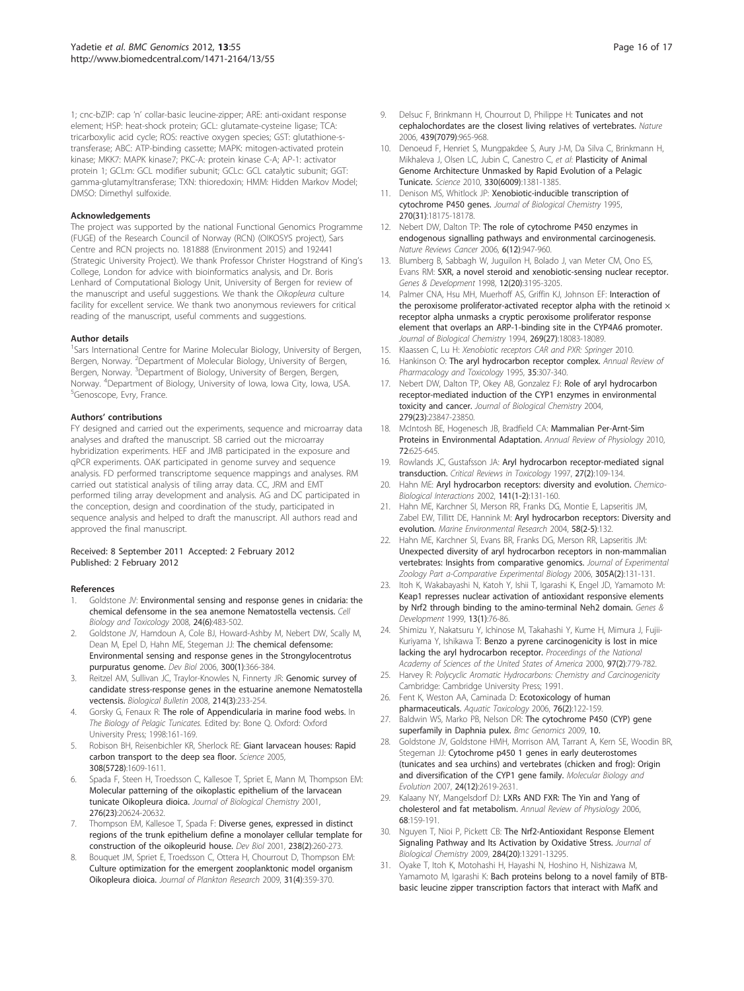<span id="page-15-0"></span>1; cnc-bZIP: cap 'n' collar-basic leucine-zipper; ARE: anti-oxidant response element; HSP: heat-shock protein; GCL: glutamate-cysteine ligase; TCA: tricarboxylic acid cycle; ROS: reactive oxygen species; GST: glutathione-stransferase; ABC: ATP-binding cassette; MAPK: mitogen-activated protein kinase; MKK7: MAPK kinase7; PKC-A: protein kinase C-A; AP-1: activator protein 1; GCLm: GCL modifier subunit; GCLc: GCL catalytic subunit; GGT: gamma-glutamyltransferase; TXN: thioredoxin; HMM: Hidden Markov Model; DMSO: Dimethyl sulfoxide.

#### Acknowledgements

The project was supported by the national Functional Genomics Programme (FUGE) of the Research Council of Norway (RCN) (OIKOSYS project), Sars Centre and RCN projects no. 181888 (Environment 2015) and 192441 (Strategic University Project). We thank Professor Christer Hogstrand of King's College, London for advice with bioinformatics analysis, and Dr. Boris Lenhard of Computational Biology Unit, University of Bergen for review of the manuscript and useful suggestions. We thank the Oikopleura culture facility for excellent service. We thank two anonymous reviewers for critical reading of the manuscript, useful comments and suggestions.

#### Author details

<sup>1</sup>Sars International Centre for Marine Molecular Biology, University of Bergen, Bergen, Norway. <sup>2</sup>Department of Molecular Biology, University of Bergen, Bergen, Norway. <sup>3</sup>Department of Biology, University of Bergen, Bergen, Norway. <sup>4</sup>Department of Biology, University of Iowa, Iowa City, Iowa, USA.<br><sup>5</sup>Genoscone, Evry, Erance <sup>5</sup>Genoscope, Evry, France.

#### Authors' contributions

FY designed and carried out the experiments, sequence and microarray data analyses and drafted the manuscript. SB carried out the microarray hybridization experiments. HEF and JMB participated in the exposure and qPCR experiments. OAK participated in genome survey and sequence analysis. FD performed transcriptome sequence mappings and analyses. RM carried out statistical analysis of tiling array data. CC, JRM and EMT performed tiling array development and analysis. AG and DC participated in the conception, design and coordination of the study, participated in sequence analysis and helped to draft the manuscript. All authors read and approved the final manuscript.

#### Received: 8 September 2011 Accepted: 2 February 2012 Published: 2 February 2012

#### References

- Goldstone JV: [Environmental sensing and response genes in cnidaria: the](http://www.ncbi.nlm.nih.gov/pubmed/18956243?dopt=Abstract) [chemical defensome in the sea anemone Nematostella vectensis.](http://www.ncbi.nlm.nih.gov/pubmed/18956243?dopt=Abstract) Cell Biology and Toxicology 2008, 24(6):483-502.
- 2. Goldstone JV, Hamdoun A, Cole BJ, Howard-Ashby M, Nebert DW, Scally M, Dean M, Epel D, Hahn ME, Stegeman JJ: [The chemical defensome:](http://www.ncbi.nlm.nih.gov/pubmed/17097629?dopt=Abstract) [Environmental sensing and response genes in the Strongylocentrotus](http://www.ncbi.nlm.nih.gov/pubmed/17097629?dopt=Abstract) [purpuratus genome.](http://www.ncbi.nlm.nih.gov/pubmed/17097629?dopt=Abstract) Dev Biol 2006, 300(1):366-384.
- 3. Reitzel AM, Sullivan JC, Traylor-Knowles N, Finnerty JR: [Genomic survey of](http://www.ncbi.nlm.nih.gov/pubmed/18574101?dopt=Abstract) [candidate stress-response genes in the estuarine anemone Nematostella](http://www.ncbi.nlm.nih.gov/pubmed/18574101?dopt=Abstract) [vectensis.](http://www.ncbi.nlm.nih.gov/pubmed/18574101?dopt=Abstract) Biological Bulletin 2008, 214(3):233-254.
- 4. Gorsky G, Fenaux R: The role of Appendicularia in marine food webs. In The Biology of Pelagic Tunicates. Edited by: Bone Q. Oxford: Oxford University Press; 1998:161-169.
- 5. Robison BH, Reisenbichler KR, Sherlock RE: [Giant larvacean houses: Rapid](http://www.ncbi.nlm.nih.gov/pubmed/15947183?dopt=Abstract) [carbon transport to the deep sea floor.](http://www.ncbi.nlm.nih.gov/pubmed/15947183?dopt=Abstract) Science 2005, 308(5728):1609-1611.
- Spada F, Steen H, Troedsson C, Kallesoe T, Spriet E, Mann M, Thompson EM: [Molecular patterning of the oikoplastic epithelium of the larvacean](http://www.ncbi.nlm.nih.gov/pubmed/11279070?dopt=Abstract) [tunicate Oikopleura dioica.](http://www.ncbi.nlm.nih.gov/pubmed/11279070?dopt=Abstract) Journal of Biological Chemistry 2001, 276(23):20624-20632.
- 7. Thompson EM, Kallesoe T, Spada F: [Diverse genes, expressed in distinct](http://www.ncbi.nlm.nih.gov/pubmed/11784009?dopt=Abstract) [regions of the trunk epithelium define a monolayer cellular template for](http://www.ncbi.nlm.nih.gov/pubmed/11784009?dopt=Abstract) [construction of the oikopleurid house.](http://www.ncbi.nlm.nih.gov/pubmed/11784009?dopt=Abstract) Dev Biol 2001, 238(2):260-273.
- Bouquet JM, Spriet E, Troedsson C, Ottera H, Chourrout D, Thompson EM: [Culture optimization for the emergent zooplanktonic model organism](http://www.ncbi.nlm.nih.gov/pubmed/19461862?dopt=Abstract) [Oikopleura dioica.](http://www.ncbi.nlm.nih.gov/pubmed/19461862?dopt=Abstract) Journal of Plankton Research 2009, 31(4):359-370.
- 9. Delsuc F, Brinkmann H, Chourrout D, Philippe H: [Tunicates and not](http://www.ncbi.nlm.nih.gov/pubmed/16495997?dopt=Abstract) [cephalochordates are the closest living relatives of vertebrates.](http://www.ncbi.nlm.nih.gov/pubmed/16495997?dopt=Abstract) Nature 2006, 439(7079):965-968.
- 10. Denoeud F, Henriet S, Mungpakdee S, Aury J-M, Da Silva C, Brinkmann H, Mikhaleva J, Olsen LC, Jubin C, Canestro C, et al: [Plasticity of Animal](http://www.ncbi.nlm.nih.gov/pubmed/21097902?dopt=Abstract) [Genome Architecture Unmasked by Rapid Evolution of a Pelagic](http://www.ncbi.nlm.nih.gov/pubmed/21097902?dopt=Abstract) [Tunicate.](http://www.ncbi.nlm.nih.gov/pubmed/21097902?dopt=Abstract) Science 2010, 330(6009):1381-1385.
- 11. Denison MS, Whitlock JP: [Xenobiotic-inducible transcription of](http://www.ncbi.nlm.nih.gov/pubmed/7629130?dopt=Abstract) [cytochrome P450 genes.](http://www.ncbi.nlm.nih.gov/pubmed/7629130?dopt=Abstract) Journal of Biological Chemistry 1995, 270(31):18175-18178.
- 12. Nebert DW, Dalton TP: [The role of cytochrome P450 enzymes in](http://www.ncbi.nlm.nih.gov/pubmed/17128211?dopt=Abstract) [endogenous signalling pathways and environmental carcinogenesis.](http://www.ncbi.nlm.nih.gov/pubmed/17128211?dopt=Abstract) Nature Reviews Cancer 2006, 6(12):947-960.
- 13. Blumberg B, Sabbagh W, Juguilon H, Bolado J, van Meter CM, Ono ES, Evans RM: [SXR, a novel steroid and xenobiotic-sensing nuclear receptor.](http://www.ncbi.nlm.nih.gov/pubmed/22315721?dopt=Abstract) Genes & Development 1998, 12(20):3195-3205.
- 14. Palmer CNA, Hsu MH, Muerhoff AS, Griffin KJ, Johnson EF: [Interaction of](http://www.ncbi.nlm.nih.gov/pubmed/8027069?dopt=Abstract) the peroxisome proliferator-activated receptor alpha with the retinoid  $\times$ [receptor alpha unmasks a cryptic peroxisome proliferator response](http://www.ncbi.nlm.nih.gov/pubmed/8027069?dopt=Abstract) [element that overlaps an ARP-1-binding site in the CYP4A6 promoter.](http://www.ncbi.nlm.nih.gov/pubmed/8027069?dopt=Abstract) Journal of Biological Chemistry 1994, 269(27):18083-18089.
- 15. Klaassen C, Lu H: Xenobiotic receptors CAR and PXR: Springer 2010.
- 16. Hankinson O: [The aryl hydrocarbon receptor complex.](http://www.ncbi.nlm.nih.gov/pubmed/7598497?dopt=Abstract) Annual Review of Pharmacology and Toxicology 1995, 35:307-340.
- 17. Nebert DW, Dalton TP, Okey AB, Gonzalez FJ: [Role of aryl hydrocarbon](http://www.ncbi.nlm.nih.gov/pubmed/15028720?dopt=Abstract) [receptor-mediated induction of the CYP1 enzymes in environmental](http://www.ncbi.nlm.nih.gov/pubmed/15028720?dopt=Abstract) [toxicity and cancer.](http://www.ncbi.nlm.nih.gov/pubmed/15028720?dopt=Abstract) Journal of Biological Chemistry 2004, 279(23):23847-23850.
- 18. McIntosh BE, Hogenesch JB, Bradfield CA: [Mammalian Per-Arnt-Sim](http://www.ncbi.nlm.nih.gov/pubmed/20148691?dopt=Abstract) [Proteins in Environmental Adaptation.](http://www.ncbi.nlm.nih.gov/pubmed/20148691?dopt=Abstract) Annual Review of Physiology 2010, 72:625-645.
- 19. Rowlands JC, Gustafsson JA: [Aryl hydrocarbon receptor-mediated signal](http://www.ncbi.nlm.nih.gov/pubmed/9099515?dopt=Abstract) [transduction.](http://www.ncbi.nlm.nih.gov/pubmed/9099515?dopt=Abstract) Critical Reviews in Toxicology 1997, 27(2):109-134.
- 20. Hahn ME: [Aryl hydrocarbon receptors: diversity and evolution.](http://www.ncbi.nlm.nih.gov/pubmed/12213389?dopt=Abstract) Chemico-Biological Interactions 2002, 141(1-2):131-160.
- 21. Hahn ME, Karchner SI, Merson RR, Franks DG, Montie E, Lapseritis JM, Zabel EW, Tillitt DE, Hannink M: Aryl hydrocarbon receptors: Diversity and evolution. Marine Environmental Research 2004, 58(2-5):132.
- 22. Hahn ME, Karchner SI, Evans BR, Franks DG, Merson RR, Lapseritis JM: Unexpected diversity of aryl hydrocarbon receptors in non-mammalian vertebrates: Insights from comparative genomics. Journal of Experimental Zoology Part a-Comparative Experimental Biology 2006, 305A(2):131-131.
- 23. Itoh K, Wakabayashi N, Katoh Y, Ishii T, Igarashi K, Engel JD, Yamamoto M: [Keap1 represses nuclear activation of antioxidant responsive elements](http://www.ncbi.nlm.nih.gov/pubmed/22315721?dopt=Abstract) [by Nrf2 through binding to the amino-terminal Neh2 domain.](http://www.ncbi.nlm.nih.gov/pubmed/22315721?dopt=Abstract) Genes & Development 1999, 13(1):76-86.
- 24. Shimizu Y, Nakatsuru Y, Ichinose M, Takahashi Y, Kume H, Mimura J, Fujii-Kuriyama Y, Ishikawa T: [Benzo a pyrene carcinogenicity is lost in mice](http://www.ncbi.nlm.nih.gov/pubmed/10639156?dopt=Abstract) [lacking the aryl hydrocarbon receptor.](http://www.ncbi.nlm.nih.gov/pubmed/10639156?dopt=Abstract) Proceedings of the National Academy of Sciences of the United States of America 2000, 97(2):779-782.
- 25. Harvey R: Polycyclic Aromatic Hydrocarbons: Chemistry and Carcinogenicity Cambridge: Cambridge University Press; 1991.
- 26. Fent K, Weston AA, Caminada D: [Ecotoxicology of human](http://www.ncbi.nlm.nih.gov/pubmed/16257063?dopt=Abstract) [pharmaceuticals.](http://www.ncbi.nlm.nih.gov/pubmed/16257063?dopt=Abstract) Aquatic Toxicology 2006, 76(2):122-159.
- 27. Baldwin WS, Marko PB, Nelson DR: The cytochrome P450 (CYP) gene superfamily in Daphnia pulex. Bmc Genomics 2009, 10.
- 28. Goldstone JV, Goldstone HMH, Morrison AM, Tarrant A, Kern SE, Woodin BR, Stegeman JJ: [Cytochrome p450 1 genes in early deuterostomes](http://www.ncbi.nlm.nih.gov/pubmed/17916789?dopt=Abstract) [\(tunicates and sea urchins\) and vertebrates \(chicken and frog\): Origin](http://www.ncbi.nlm.nih.gov/pubmed/17916789?dopt=Abstract) [and diversification of the CYP1 gene family.](http://www.ncbi.nlm.nih.gov/pubmed/17916789?dopt=Abstract) Molecular Biology and Evolution 2007, 24(12):2619-2631.
- 29. Kalaany NY, Mangelsdorf DJ: [LXRs AND FXR: The Yin and Yang of](http://www.ncbi.nlm.nih.gov/pubmed/16460270?dopt=Abstract) [cholesterol and fat metabolism.](http://www.ncbi.nlm.nih.gov/pubmed/16460270?dopt=Abstract) Annual Review of Physiology 2006, 68:159-191.
- 30. Nguyen T, Nioi P, Pickett CB: [The Nrf2-Antioxidant Response Element](http://www.ncbi.nlm.nih.gov/pubmed/19182219?dopt=Abstract) [Signaling Pathway and Its Activation by Oxidative Stress.](http://www.ncbi.nlm.nih.gov/pubmed/19182219?dopt=Abstract) Journal of Biological Chemistry 2009, 284(20):13291-13295.
- 31. Oyake T, Itoh K, Motohashi H, Hayashi N, Hoshino H, Nishizawa M, Yamamoto M, Igarashi K: [Bach proteins belong to a novel family of BTB](http://www.ncbi.nlm.nih.gov/pubmed/8887638?dopt=Abstract)[basic leucine zipper transcription factors that interact with MafK and](http://www.ncbi.nlm.nih.gov/pubmed/8887638?dopt=Abstract)